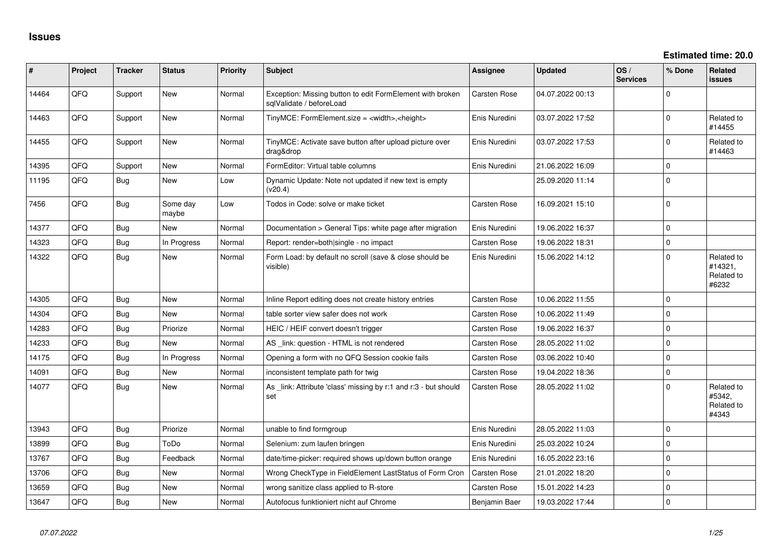| #     | Project | <b>Tracker</b> | <b>Status</b>     | <b>Priority</b> | Subject                                                                               | <b>Assignee</b>     | <b>Updated</b>   | OS/<br><b>Services</b> | % Done      | Related<br><b>issues</b>                     |
|-------|---------|----------------|-------------------|-----------------|---------------------------------------------------------------------------------------|---------------------|------------------|------------------------|-------------|----------------------------------------------|
| 14464 | QFQ     | Support        | New               | Normal          | Exception: Missing button to edit FormElement with broken<br>sglValidate / beforeLoad | Carsten Rose        | 04.07.2022 00:13 |                        | $\Omega$    |                                              |
| 14463 | QFQ     | Support        | New               | Normal          | TinyMCE: FormElement.size = <width>,<height></height></width>                         | Enis Nuredini       | 03.07.2022 17:52 |                        | $\Omega$    | Related to<br>#14455                         |
| 14455 | QFQ     | Support        | New               | Normal          | TinyMCE: Activate save button after upload picture over<br>drag&drop                  | Enis Nuredini       | 03.07.2022 17:53 |                        | $\Omega$    | Related to<br>#14463                         |
| 14395 | QFQ     | Support        | <b>New</b>        | Normal          | FormEditor: Virtual table columns                                                     | Enis Nuredini       | 21.06.2022 16:09 |                        | $\mathbf 0$ |                                              |
| 11195 | QFQ     | <b>Bug</b>     | <b>New</b>        | Low             | Dynamic Update: Note not updated if new text is empty<br>(v20.4)                      |                     | 25.09.2020 11:14 |                        | $\mathbf 0$ |                                              |
| 7456  | QFQ     | Bug            | Some day<br>maybe | Low             | Todos in Code: solve or make ticket                                                   | Carsten Rose        | 16.09.2021 15:10 |                        | $\mathbf 0$ |                                              |
| 14377 | QFQ     | Bug            | <b>New</b>        | Normal          | Documentation > General Tips: white page after migration                              | Enis Nuredini       | 19.06.2022 16:37 |                        | $\Omega$    |                                              |
| 14323 | QFQ     | Bug            | In Progress       | Normal          | Report: render=both single - no impact                                                | Carsten Rose        | 19.06.2022 18:31 |                        | $\mathbf 0$ |                                              |
| 14322 | QFQ     | <b>Bug</b>     | <b>New</b>        | Normal          | Form Load: by default no scroll (save & close should be<br>visible)                   | Enis Nuredini       | 15.06.2022 14:12 |                        | $\Omega$    | Related to<br>#14321,<br>Related to<br>#6232 |
| 14305 | QFQ     | Bug            | <b>New</b>        | Normal          | Inline Report editing does not create history entries                                 | <b>Carsten Rose</b> | 10.06.2022 11:55 |                        | $\Omega$    |                                              |
| 14304 | QFQ     | Bug            | New               | Normal          | table sorter view safer does not work                                                 | Carsten Rose        | 10.06.2022 11:49 |                        | $\mathbf 0$ |                                              |
| 14283 | QFQ     | <b>Bug</b>     | Priorize          | Normal          | HEIC / HEIF convert doesn't trigger                                                   | Carsten Rose        | 19.06.2022 16:37 |                        | $\Omega$    |                                              |
| 14233 | QFQ     | Bug            | <b>New</b>        | Normal          | AS _link: question - HTML is not rendered                                             | Carsten Rose        | 28.05.2022 11:02 |                        | $\mathbf 0$ |                                              |
| 14175 | QFQ     | <b>Bug</b>     | In Progress       | Normal          | Opening a form with no QFQ Session cookie fails                                       | Carsten Rose        | 03.06.2022 10:40 |                        | $\mathbf 0$ |                                              |
| 14091 | QFQ     | Bug            | New               | Normal          | inconsistent template path for twig                                                   | Carsten Rose        | 19.04.2022 18:36 |                        | $\mathbf 0$ |                                              |
| 14077 | QFQ     | <b>Bug</b>     | <b>New</b>        | Normal          | As _link: Attribute 'class' missing by r:1 and r:3 - but should<br>set                | Carsten Rose        | 28.05.2022 11:02 |                        | $\Omega$    | Related to<br>#5342,<br>Related to<br>#4343  |
| 13943 | QFQ     | Bug            | Priorize          | Normal          | unable to find formgroup                                                              | Enis Nuredini       | 28.05.2022 11:03 |                        | $\mathbf 0$ |                                              |
| 13899 | QFQ     | Bug            | ToDo              | Normal          | Selenium: zum laufen bringen                                                          | Enis Nuredini       | 25.03.2022 10:24 |                        | $\mathbf 0$ |                                              |
| 13767 | QFQ     | Bug            | Feedback          | Normal          | date/time-picker: required shows up/down button orange                                | Enis Nuredini       | 16.05.2022 23:16 |                        | $\mathbf 0$ |                                              |
| 13706 | QFQ     | Bug            | <b>New</b>        | Normal          | Wrong CheckType in FieldElement LastStatus of Form Cron                               | <b>Carsten Rose</b> | 21.01.2022 18:20 |                        | $\mathbf 0$ |                                              |
| 13659 | QFQ     | Bug            | <b>New</b>        | Normal          | wrong sanitize class applied to R-store                                               | Carsten Rose        | 15.01.2022 14:23 |                        | $\mathbf 0$ |                                              |
| 13647 | QFQ     | Bug            | New               | Normal          | Autofocus funktioniert nicht auf Chrome                                               | Benjamin Baer       | 19.03.2022 17:44 |                        | $\Omega$    |                                              |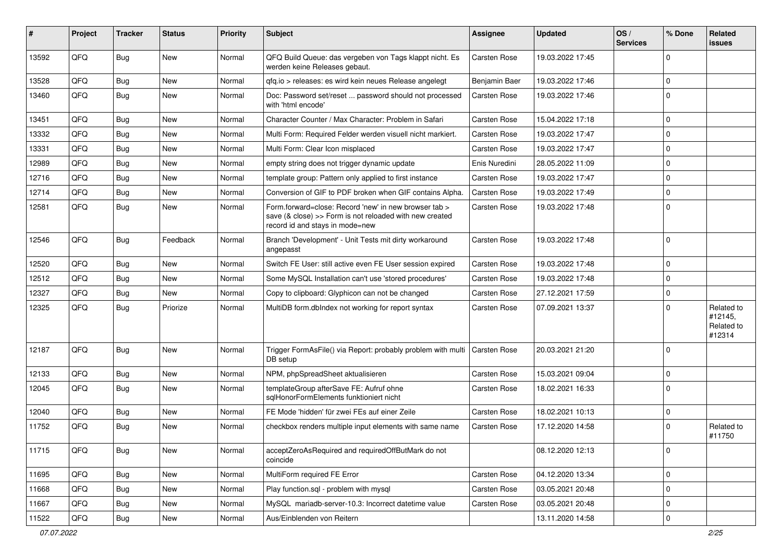| #     | Project | <b>Tracker</b> | <b>Status</b> | <b>Priority</b> | Subject                                                                                                                                             | Assignee            | <b>Updated</b>   | OS/<br><b>Services</b> | % Done      | Related<br><b>issues</b>                      |
|-------|---------|----------------|---------------|-----------------|-----------------------------------------------------------------------------------------------------------------------------------------------------|---------------------|------------------|------------------------|-------------|-----------------------------------------------|
| 13592 | QFQ     | Bug            | New           | Normal          | QFQ Build Queue: das vergeben von Tags klappt nicht. Es<br>werden keine Releases gebaut.                                                            | Carsten Rose        | 19.03.2022 17:45 |                        | $\Omega$    |                                               |
| 13528 | QFQ     | Bug            | <b>New</b>    | Normal          | qfq.io > releases: es wird kein neues Release angelegt                                                                                              | Benjamin Baer       | 19.03.2022 17:46 |                        | $\Omega$    |                                               |
| 13460 | QFQ     | Bug            | New           | Normal          | Doc: Password set/reset  password should not processed<br>with 'html encode'                                                                        | Carsten Rose        | 19.03.2022 17:46 |                        | $\mathbf 0$ |                                               |
| 13451 | QFQ     | Bug            | New           | Normal          | Character Counter / Max Character: Problem in Safari                                                                                                | Carsten Rose        | 15.04.2022 17:18 |                        | $\Omega$    |                                               |
| 13332 | QFQ     | Bug            | <b>New</b>    | Normal          | Multi Form: Required Felder werden visuell nicht markiert.                                                                                          | <b>Carsten Rose</b> | 19.03.2022 17:47 |                        | $\Omega$    |                                               |
| 13331 | QFQ     | Bug            | New           | Normal          | Multi Form: Clear Icon misplaced                                                                                                                    | Carsten Rose        | 19.03.2022 17:47 |                        | 0           |                                               |
| 12989 | QFQ     | Bug            | <b>New</b>    | Normal          | empty string does not trigger dynamic update                                                                                                        | Enis Nuredini       | 28.05.2022 11:09 |                        | $\Omega$    |                                               |
| 12716 | QFQ     | Bug            | New           | Normal          | template group: Pattern only applied to first instance                                                                                              | Carsten Rose        | 19.03.2022 17:47 |                        | $\Omega$    |                                               |
| 12714 | QFQ     | Bug            | <b>New</b>    | Normal          | Conversion of GIF to PDF broken when GIF contains Alpha.                                                                                            | Carsten Rose        | 19.03.2022 17:49 |                        | $\Omega$    |                                               |
| 12581 | QFQ     | Bug            | <b>New</b>    | Normal          | Form.forward=close: Record 'new' in new browser tab ><br>save (& close) >> Form is not reloaded with new created<br>record id and stays in mode=new | Carsten Rose        | 19.03.2022 17:48 |                        | $\Omega$    |                                               |
| 12546 | QFQ     | Bug            | Feedback      | Normal          | Branch 'Development' - Unit Tests mit dirty workaround<br>angepasst                                                                                 | <b>Carsten Rose</b> | 19.03.2022 17:48 |                        | $\Omega$    |                                               |
| 12520 | QFQ     | Bug            | <b>New</b>    | Normal          | Switch FE User: still active even FE User session expired                                                                                           | <b>Carsten Rose</b> | 19.03.2022 17:48 |                        | $\Omega$    |                                               |
| 12512 | QFQ     | Bug            | New           | Normal          | Some MySQL Installation can't use 'stored procedures'                                                                                               | Carsten Rose        | 19.03.2022 17:48 |                        | $\mathbf 0$ |                                               |
| 12327 | QFQ     | Bug            | <b>New</b>    | Normal          | Copy to clipboard: Glyphicon can not be changed                                                                                                     | Carsten Rose        | 27.12.2021 17:59 |                        | $\mathbf 0$ |                                               |
| 12325 | QFQ     | Bug            | Priorize      | Normal          | MultiDB form.dblndex not working for report syntax                                                                                                  | Carsten Rose        | 07.09.2021 13:37 |                        | $\Omega$    | Related to<br>#12145,<br>Related to<br>#12314 |
| 12187 | QFQ     | <b>Bug</b>     | New           | Normal          | Trigger FormAsFile() via Report: probably problem with multi<br>DB setup                                                                            | <b>Carsten Rose</b> | 20.03.2021 21:20 |                        | $\Omega$    |                                               |
| 12133 | QFQ     | Bug            | <b>New</b>    | Normal          | NPM, phpSpreadSheet aktualisieren                                                                                                                   | <b>Carsten Rose</b> | 15.03.2021 09:04 |                        | 0           |                                               |
| 12045 | QFQ     | Bug            | New           | Normal          | templateGroup afterSave FE: Aufruf ohne<br>sqlHonorFormElements funktioniert nicht                                                                  | Carsten Rose        | 18.02.2021 16:33 |                        | $\Omega$    |                                               |
| 12040 | QFQ     | Bug            | <b>New</b>    | Normal          | FE Mode 'hidden' für zwei FEs auf einer Zeile                                                                                                       | Carsten Rose        | 18.02.2021 10:13 |                        | $\mathbf 0$ |                                               |
| 11752 | QFQ     | Bug            | New           | Normal          | checkbox renders multiple input elements with same name                                                                                             | Carsten Rose        | 17.12.2020 14:58 |                        | $\Omega$    | Related to<br>#11750                          |
| 11715 | QFQ     | <b>Bug</b>     | New           | Normal          | acceptZeroAsRequired and requiredOffButMark do not<br>coincide                                                                                      |                     | 08.12.2020 12:13 |                        | 0           |                                               |
| 11695 | QFQ     | <b>Bug</b>     | New           | Normal          | MultiForm required FE Error                                                                                                                         | Carsten Rose        | 04.12.2020 13:34 |                        | $\mathbf 0$ |                                               |
| 11668 | QFQ     | <b>Bug</b>     | New           | Normal          | Play function.sql - problem with mysql                                                                                                              | Carsten Rose        | 03.05.2021 20:48 |                        | 0           |                                               |
| 11667 | QFQ     | Bug            | New           | Normal          | MySQL mariadb-server-10.3: Incorrect datetime value                                                                                                 | Carsten Rose        | 03.05.2021 20:48 |                        | 0           |                                               |
| 11522 | QFQ     | <b>Bug</b>     | New           | Normal          | Aus/Einblenden von Reitern                                                                                                                          |                     | 13.11.2020 14:58 |                        | 0           |                                               |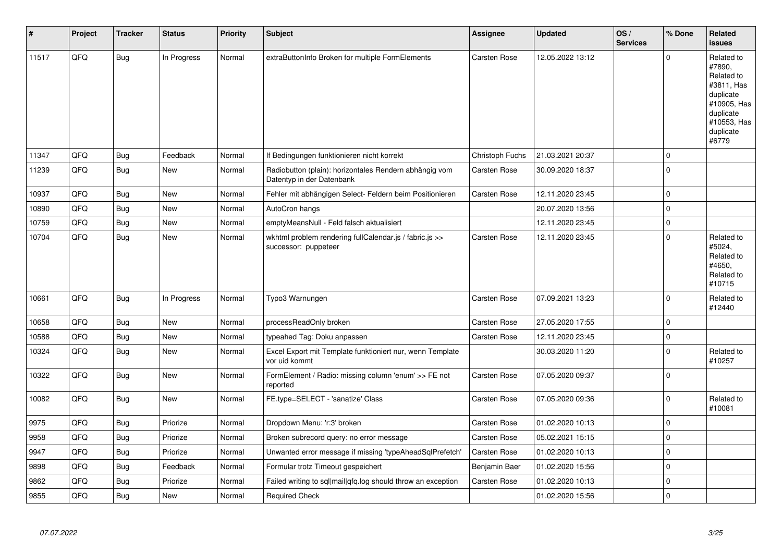| $\sharp$ | Project | <b>Tracker</b> | <b>Status</b> | <b>Priority</b> | <b>Subject</b>                                                                      | <b>Assignee</b>     | <b>Updated</b>   | OS/<br><b>Services</b> | % Done      | Related<br><b>issues</b>                                                                                                       |
|----------|---------|----------------|---------------|-----------------|-------------------------------------------------------------------------------------|---------------------|------------------|------------------------|-------------|--------------------------------------------------------------------------------------------------------------------------------|
| 11517    | QFQ     | <b>Bug</b>     | In Progress   | Normal          | extraButtonInfo Broken for multiple FormElements                                    | <b>Carsten Rose</b> | 12.05.2022 13:12 |                        | $\Omega$    | Related to<br>#7890,<br>Related to<br>#3811, Has<br>duplicate<br>#10905, Has<br>duplicate<br>#10553, Has<br>duplicate<br>#6779 |
| 11347    | QFQ     | Bug            | Feedback      | Normal          | If Bedingungen funktionieren nicht korrekt                                          | Christoph Fuchs     | 21.03.2021 20:37 |                        | $\mathbf 0$ |                                                                                                                                |
| 11239    | QFQ     | Bug            | <b>New</b>    | Normal          | Radiobutton (plain): horizontales Rendern abhängig vom<br>Datentyp in der Datenbank | <b>Carsten Rose</b> | 30.09.2020 18:37 |                        | $\mathbf 0$ |                                                                                                                                |
| 10937    | QFQ     | Bug            | New           | Normal          | Fehler mit abhängigen Select- Feldern beim Positionieren                            | Carsten Rose        | 12.11.2020 23:45 |                        | $\pmb{0}$   |                                                                                                                                |
| 10890    | QFQ     | Bug            | <b>New</b>    | Normal          | AutoCron hangs                                                                      |                     | 20.07.2020 13:56 |                        | $\mathbf 0$ |                                                                                                                                |
| 10759    | QFQ     | Bug            | <b>New</b>    | Normal          | emptyMeansNull - Feld falsch aktualisiert                                           |                     | 12.11.2020 23:45 |                        | $\pmb{0}$   |                                                                                                                                |
| 10704    | QFQ     | Bug            | New           | Normal          | wkhtml problem rendering fullCalendar.js / fabric.js >><br>successor: puppeteer     | Carsten Rose        | 12.11.2020 23:45 |                        | $\mathbf 0$ | Related to<br>#5024,<br>Related to<br>#4650,<br>Related to<br>#10715                                                           |
| 10661    | QFQ     | Bug            | In Progress   | Normal          | Typo3 Warnungen                                                                     | <b>Carsten Rose</b> | 07.09.2021 13:23 |                        | $\mathbf 0$ | Related to<br>#12440                                                                                                           |
| 10658    | QFQ     | Bug            | <b>New</b>    | Normal          | processReadOnly broken                                                              | Carsten Rose        | 27.05.2020 17:55 |                        | $\mathbf 0$ |                                                                                                                                |
| 10588    | QFQ     | Bug            | New           | Normal          | typeahed Tag: Doku anpassen                                                         | Carsten Rose        | 12.11.2020 23:45 |                        | $\pmb{0}$   |                                                                                                                                |
| 10324    | QFQ     | Bug            | New           | Normal          | Excel Export mit Template funktioniert nur, wenn Template<br>vor uid kommt          |                     | 30.03.2020 11:20 |                        | $\mathbf 0$ | Related to<br>#10257                                                                                                           |
| 10322    | QFQ     | Bug            | New           | Normal          | FormElement / Radio: missing column 'enum' >> FE not<br>reported                    | <b>Carsten Rose</b> | 07.05.2020 09:37 |                        | $\mathbf 0$ |                                                                                                                                |
| 10082    | QFQ     | Bug            | New           | Normal          | FE.type=SELECT - 'sanatize' Class                                                   | Carsten Rose        | 07.05.2020 09:36 |                        | $\mathbf 0$ | Related to<br>#10081                                                                                                           |
| 9975     | QFQ     | Bug            | Priorize      | Normal          | Dropdown Menu: 'r:3' broken                                                         | <b>Carsten Rose</b> | 01.02.2020 10:13 |                        | $\mathbf 0$ |                                                                                                                                |
| 9958     | QFQ     | Bug            | Priorize      | Normal          | Broken subrecord query: no error message                                            | Carsten Rose        | 05.02.2021 15:15 |                        | $\pmb{0}$   |                                                                                                                                |
| 9947     | QFQ     | <b>Bug</b>     | Priorize      | Normal          | Unwanted error message if missing 'typeAheadSqlPrefetch'                            | <b>Carsten Rose</b> | 01.02.2020 10:13 |                        | $\pmb{0}$   |                                                                                                                                |
| 9898     | QFQ     | Bug            | Feedback      | Normal          | Formular trotz Timeout gespeichert                                                  | Benjamin Baer       | 01.02.2020 15:56 |                        | $\pmb{0}$   |                                                                                                                                |
| 9862     | QFQ     | Bug            | Priorize      | Normal          | Failed writing to sql mail qfq.log should throw an exception                        | Carsten Rose        | 01.02.2020 10:13 |                        | $\pmb{0}$   |                                                                                                                                |
| 9855     | QFQ     | <b>Bug</b>     | <b>New</b>    | Normal          | <b>Required Check</b>                                                               |                     | 01.02.2020 15:56 |                        | $\mathbf 0$ |                                                                                                                                |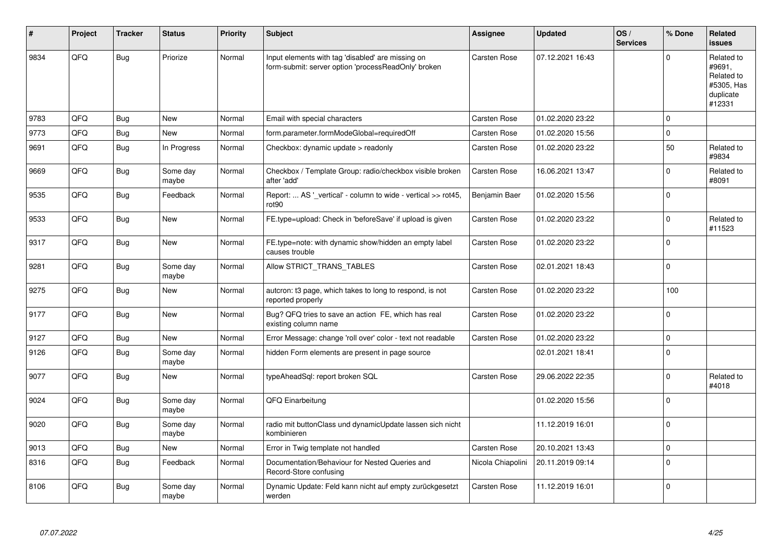| #    | Project | <b>Tracker</b> | <b>Status</b>     | <b>Priority</b> | <b>Subject</b>                                                                                           | Assignee            | <b>Updated</b>   | OS/<br><b>Services</b> | % Done      | Related<br><b>issues</b>                                                |
|------|---------|----------------|-------------------|-----------------|----------------------------------------------------------------------------------------------------------|---------------------|------------------|------------------------|-------------|-------------------------------------------------------------------------|
| 9834 | QFQ     | <b>Bug</b>     | Priorize          | Normal          | Input elements with tag 'disabled' are missing on<br>form-submit: server option 'processReadOnly' broken | <b>Carsten Rose</b> | 07.12.2021 16:43 |                        | $\Omega$    | Related to<br>#9691,<br>Related to<br>#5305, Has<br>duplicate<br>#12331 |
| 9783 | QFQ     | <b>Bug</b>     | New               | Normal          | Email with special characters                                                                            | <b>Carsten Rose</b> | 01.02.2020 23:22 |                        | $\mathbf 0$ |                                                                         |
| 9773 | QFQ     | Bug            | New               | Normal          | form.parameter.formModeGlobal=requiredOff                                                                | <b>Carsten Rose</b> | 01.02.2020 15:56 |                        | $\mathbf 0$ |                                                                         |
| 9691 | QFQ     | <b>Bug</b>     | In Progress       | Normal          | Checkbox: dynamic update > readonly                                                                      | Carsten Rose        | 01.02.2020 23:22 |                        | 50          | Related to<br>#9834                                                     |
| 9669 | QFQ     | <b>Bug</b>     | Some day<br>maybe | Normal          | Checkbox / Template Group: radio/checkbox visible broken<br>after 'add'                                  | <b>Carsten Rose</b> | 16.06.2021 13:47 |                        | $\mathbf 0$ | Related to<br>#8091                                                     |
| 9535 | QFQ     | Bug            | Feedback          | Normal          | Report:  AS ' vertical' - column to wide - vertical >> rot45,<br>rot <sub>90</sub>                       | Benjamin Baer       | 01.02.2020 15:56 |                        | $\mathbf 0$ |                                                                         |
| 9533 | QFQ     | Bug            | <b>New</b>        | Normal          | FE.type=upload: Check in 'beforeSave' if upload is given                                                 | <b>Carsten Rose</b> | 01.02.2020 23:22 |                        | 0           | Related to<br>#11523                                                    |
| 9317 | QFQ     | Bug            | New               | Normal          | FE.type=note: with dynamic show/hidden an empty label<br>causes trouble                                  | Carsten Rose        | 01.02.2020 23:22 |                        | $\pmb{0}$   |                                                                         |
| 9281 | QFQ     | Bug            | Some day<br>maybe | Normal          | Allow STRICT_TRANS_TABLES                                                                                | Carsten Rose        | 02.01.2021 18:43 |                        | $\mathbf 0$ |                                                                         |
| 9275 | QFQ     | Bug            | New               | Normal          | auteron: t3 page, which takes to long to respond, is not<br>reported properly                            | <b>Carsten Rose</b> | 01.02.2020 23:22 |                        | 100         |                                                                         |
| 9177 | QFQ     | Bug            | New               | Normal          | Bug? QFQ tries to save an action FE, which has real<br>existing column name                              | Carsten Rose        | 01.02.2020 23:22 |                        | $\Omega$    |                                                                         |
| 9127 | QFQ     | <b>Bug</b>     | New               | Normal          | Error Message: change 'roll over' color - text not readable                                              | Carsten Rose        | 01.02.2020 23:22 |                        | $\pmb{0}$   |                                                                         |
| 9126 | QFQ     | Bug            | Some day<br>maybe | Normal          | hidden Form elements are present in page source                                                          |                     | 02.01.2021 18:41 |                        | $\mathbf 0$ |                                                                         |
| 9077 | QFQ     | Bug            | New               | Normal          | typeAheadSql: report broken SQL                                                                          | Carsten Rose        | 29.06.2022 22:35 |                        | $\mathbf 0$ | Related to<br>#4018                                                     |
| 9024 | QFQ     | Bug            | Some day<br>maybe | Normal          | QFQ Einarbeitung                                                                                         |                     | 01.02.2020 15:56 |                        | $\Omega$    |                                                                         |
| 9020 | QFQ     | Bug            | Some day<br>maybe | Normal          | radio mit buttonClass und dynamicUpdate lassen sich nicht<br>kombinieren                                 |                     | 11.12.2019 16:01 |                        | $\mathbf 0$ |                                                                         |
| 9013 | QFQ     | <b>Bug</b>     | New               | Normal          | Error in Twig template not handled                                                                       | Carsten Rose        | 20.10.2021 13:43 |                        | $\mathbf 0$ |                                                                         |
| 8316 | QFQ     | Bug            | Feedback          | Normal          | Documentation/Behaviour for Nested Queries and<br>Record-Store confusing                                 | Nicola Chiapolini   | 20.11.2019 09:14 |                        | $\mathbf 0$ |                                                                         |
| 8106 | QFQ     | Bug            | Some day<br>maybe | Normal          | Dynamic Update: Feld kann nicht auf empty zurückgesetzt<br>werden                                        | Carsten Rose        | 11.12.2019 16:01 |                        | $\Omega$    |                                                                         |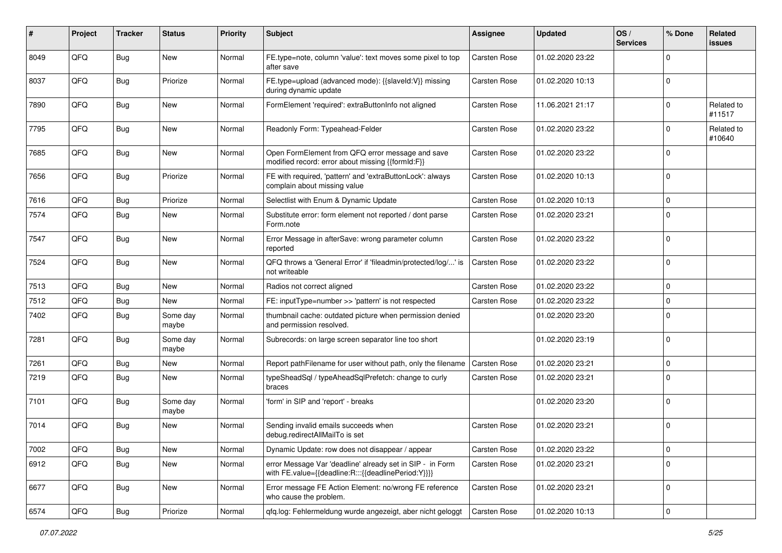| #    | Project | <b>Tracker</b> | <b>Status</b>     | <b>Priority</b> | <b>Subject</b>                                                                                                   | <b>Assignee</b>     | <b>Updated</b>   | OS/<br><b>Services</b> | % Done      | Related<br>issues    |
|------|---------|----------------|-------------------|-----------------|------------------------------------------------------------------------------------------------------------------|---------------------|------------------|------------------------|-------------|----------------------|
| 8049 | QFQ     | <b>Bug</b>     | New               | Normal          | FE.type=note, column 'value': text moves some pixel to top<br>after save                                         | Carsten Rose        | 01.02.2020 23:22 |                        | $\Omega$    |                      |
| 8037 | QFQ     | <b>Bug</b>     | Priorize          | Normal          | FE.type=upload (advanced mode): {{slaveld:V}} missing<br>during dynamic update                                   | <b>Carsten Rose</b> | 01.02.2020 10:13 |                        | $\mathbf 0$ |                      |
| 7890 | QFQ     | Bug            | <b>New</b>        | Normal          | FormElement 'required': extraButtonInfo not aligned                                                              | <b>Carsten Rose</b> | 11.06.2021 21:17 |                        | U           | Related to<br>#11517 |
| 7795 | QFQ     | Bug            | New               | Normal          | Readonly Form: Typeahead-Felder                                                                                  | Carsten Rose        | 01.02.2020 23:22 |                        | 0           | Related to<br>#10640 |
| 7685 | QFQ     | Bug            | <b>New</b>        | Normal          | Open FormElement from QFQ error message and save<br>modified record: error about missing {{formId:F}}            | <b>Carsten Rose</b> | 01.02.2020 23:22 |                        | $\Omega$    |                      |
| 7656 | QFQ     | Bug            | Priorize          | Normal          | FE with required, 'pattern' and 'extraButtonLock': always<br>complain about missing value                        | Carsten Rose        | 01.02.2020 10:13 |                        | $\Omega$    |                      |
| 7616 | QFQ     | Bug            | Priorize          | Normal          | Selectlist with Enum & Dynamic Update                                                                            | Carsten Rose        | 01.02.2020 10:13 |                        | $\Omega$    |                      |
| 7574 | QFQ     | Bug            | New               | Normal          | Substitute error: form element not reported / dont parse<br>Form.note                                            | Carsten Rose        | 01.02.2020 23:21 |                        | $\Omega$    |                      |
| 7547 | QFQ     | <b>Bug</b>     | <b>New</b>        | Normal          | Error Message in afterSave: wrong parameter column<br>reported                                                   | <b>Carsten Rose</b> | 01.02.2020 23:22 |                        | 0           |                      |
| 7524 | QFQ     | Bug            | New               | Normal          | QFQ throws a 'General Error' if 'fileadmin/protected/log/' is<br>not writeable                                   | Carsten Rose        | 01.02.2020 23:22 |                        | $\Omega$    |                      |
| 7513 | QFQ     | Bug            | New               | Normal          | Radios not correct aligned                                                                                       | <b>Carsten Rose</b> | 01.02.2020 23:22 |                        | $\Omega$    |                      |
| 7512 | QFQ     | Bug            | New               | Normal          | FE: inputType=number >> 'pattern' is not respected                                                               | Carsten Rose        | 01.02.2020 23:22 |                        | $\Omega$    |                      |
| 7402 | QFQ     | <b>Bug</b>     | Some day<br>maybe | Normal          | thumbnail cache: outdated picture when permission denied<br>and permission resolved.                             |                     | 01.02.2020 23:20 |                        | $\mathbf 0$ |                      |
| 7281 | QFQ     | <b>Bug</b>     | Some day<br>maybe | Normal          | Subrecords: on large screen separator line too short                                                             |                     | 01.02.2020 23:19 |                        | $\Omega$    |                      |
| 7261 | QFQ     | Bug            | New               | Normal          | Report pathFilename for user without path, only the filename                                                     | <b>Carsten Rose</b> | 01.02.2020 23:21 |                        | 0           |                      |
| 7219 | QFQ     | Bug            | New               | Normal          | typeSheadSql / typeAheadSqlPrefetch: change to curly<br>braces                                                   | <b>Carsten Rose</b> | 01.02.2020 23:21 |                        | $\Omega$    |                      |
| 7101 | QFQ     | Bug            | Some day<br>maybe | Normal          | 'form' in SIP and 'report' - breaks                                                                              |                     | 01.02.2020 23:20 |                        | $\mathbf 0$ |                      |
| 7014 | QFQ     | Bug            | New               | Normal          | Sending invalid emails succeeds when<br>debug.redirectAllMailTo is set                                           | <b>Carsten Rose</b> | 01.02.2020 23:21 |                        | $\mathbf 0$ |                      |
| 7002 | QFQ     | <b>Bug</b>     | New               | Normal          | Dynamic Update: row does not disappear / appear                                                                  | Carsten Rose        | 01.02.2020 23:22 |                        | 0           |                      |
| 6912 | QFQ     | <b>Bug</b>     | New               | Normal          | error Message Var 'deadline' already set in SIP - in Form<br>with FE.value={{deadline:R:::{{deadlinePeriod:Y}}}} | Carsten Rose        | 01.02.2020 23:21 |                        | $\Omega$    |                      |
| 6677 | QFQ     | Bug            | New               | Normal          | Error message FE Action Element: no/wrong FE reference<br>who cause the problem.                                 | Carsten Rose        | 01.02.2020 23:21 |                        | $\mathbf 0$ |                      |
| 6574 | QFQ     | Bug            | Priorize          | Normal          | qfq.log: Fehlermeldung wurde angezeigt, aber nicht geloggt                                                       | Carsten Rose        | 01.02.2020 10:13 |                        | $\mathbf 0$ |                      |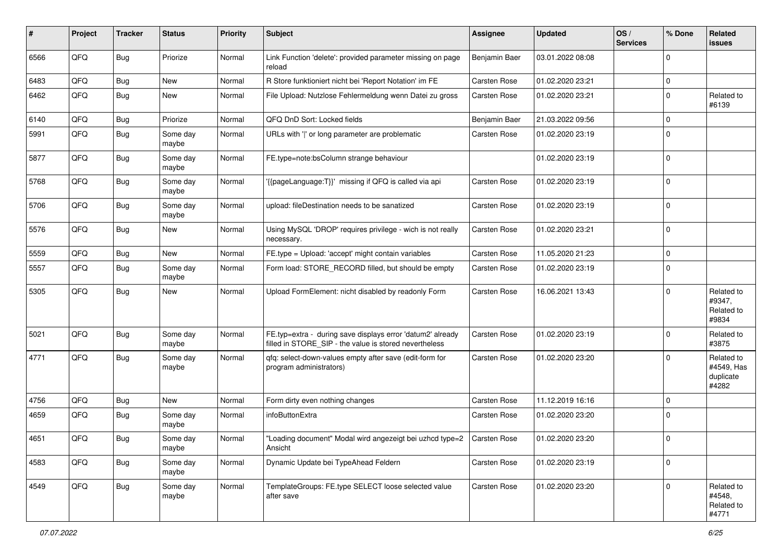| #    | Project | <b>Tracker</b> | <b>Status</b>     | <b>Priority</b> | Subject                                                                                                              | Assignee            | <b>Updated</b>   | OS/<br><b>Services</b> | % Done      | Related<br>issues                              |
|------|---------|----------------|-------------------|-----------------|----------------------------------------------------------------------------------------------------------------------|---------------------|------------------|------------------------|-------------|------------------------------------------------|
| 6566 | QFQ     | Bug            | Priorize          | Normal          | Link Function 'delete': provided parameter missing on page<br>reload                                                 | Benjamin Baer       | 03.01.2022 08:08 |                        | $\Omega$    |                                                |
| 6483 | QFQ     | Bug            | <b>New</b>        | Normal          | R Store funktioniert nicht bei 'Report Notation' im FE                                                               | Carsten Rose        | 01.02.2020 23:21 |                        | $\mathbf 0$ |                                                |
| 6462 | QFQ     | Bug            | New               | Normal          | File Upload: Nutzlose Fehlermeldung wenn Datei zu gross                                                              | Carsten Rose        | 01.02.2020 23:21 |                        | $\Omega$    | Related to<br>#6139                            |
| 6140 | QFQ     | Bug            | Priorize          | Normal          | QFQ DnD Sort: Locked fields                                                                                          | Benjamin Baer       | 21.03.2022 09:56 |                        | $\mathbf 0$ |                                                |
| 5991 | QFQ     | <b>Bug</b>     | Some day<br>maybe | Normal          | URLs with ' ' or long parameter are problematic                                                                      | Carsten Rose        | 01.02.2020 23:19 |                        | $\Omega$    |                                                |
| 5877 | QFQ     | Bug            | Some day<br>maybe | Normal          | FE.type=note:bsColumn strange behaviour                                                                              |                     | 01.02.2020 23:19 |                        | 0           |                                                |
| 5768 | QFQ     | Bug            | Some day<br>maybe | Normal          | '{{pageLanguage:T}}' missing if QFQ is called via api                                                                | Carsten Rose        | 01.02.2020 23:19 |                        | $\Omega$    |                                                |
| 5706 | QFQ     | <b>Bug</b>     | Some day<br>maybe | Normal          | upload: fileDestination needs to be sanatized                                                                        | Carsten Rose        | 01.02.2020 23:19 |                        | $\Omega$    |                                                |
| 5576 | QFQ     | <b>Bug</b>     | New               | Normal          | Using MySQL 'DROP' requires privilege - wich is not really<br>necessarv.                                             | <b>Carsten Rose</b> | 01.02.2020 23:21 |                        | $\Omega$    |                                                |
| 5559 | QFQ     | Bug            | New               | Normal          | FE.type = Upload: 'accept' might contain variables                                                                   | Carsten Rose        | 11.05.2020 21:23 |                        | 0           |                                                |
| 5557 | QFQ     | Bug            | Some day<br>maybe | Normal          | Form load: STORE_RECORD filled, but should be empty                                                                  | Carsten Rose        | 01.02.2020 23:19 |                        | $\mathbf 0$ |                                                |
| 5305 | QFQ     | Bug            | New               | Normal          | Upload FormElement: nicht disabled by readonly Form                                                                  | Carsten Rose        | 16.06.2021 13:43 |                        | $\Omega$    | Related to<br>#9347,<br>Related to<br>#9834    |
| 5021 | QFQ     | Bug            | Some day<br>maybe | Normal          | FE.typ=extra - during save displays error 'datum2' already<br>filled in STORE_SIP - the value is stored nevertheless | <b>Carsten Rose</b> | 01.02.2020 23:19 |                        | $\mathbf 0$ | Related to<br>#3875                            |
| 4771 | QFQ     | Bug            | Some day<br>maybe | Normal          | qfq: select-down-values empty after save (edit-form for<br>program administrators)                                   | <b>Carsten Rose</b> | 01.02.2020 23:20 |                        | $\Omega$    | Related to<br>#4549, Has<br>duplicate<br>#4282 |
| 4756 | QFQ     | Bug            | <b>New</b>        | Normal          | Form dirty even nothing changes                                                                                      | <b>Carsten Rose</b> | 11.12.2019 16:16 |                        | $\Omega$    |                                                |
| 4659 | QFQ     | Bug            | Some day<br>maybe | Normal          | infoButtonExtra                                                                                                      | <b>Carsten Rose</b> | 01.02.2020 23:20 |                        | $\Omega$    |                                                |
| 4651 | QFQ     | Bug            | Some day<br>maybe | Normal          | "Loading document" Modal wird angezeigt bei uzhcd type=2   Carsten Rose<br>Ansicht                                   |                     | 01.02.2020 23:20 |                        | 0           |                                                |
| 4583 | QFQ     | <b>Bug</b>     | Some day<br>maybe | Normal          | Dynamic Update bei TypeAhead Feldern                                                                                 | Carsten Rose        | 01.02.2020 23:19 |                        | $\mathbf 0$ |                                                |
| 4549 | QFQ     | <b>Bug</b>     | Some day<br>maybe | Normal          | TemplateGroups: FE.type SELECT loose selected value<br>after save                                                    | Carsten Rose        | 01.02.2020 23:20 |                        | $\mathbf 0$ | Related to<br>#4548,<br>Related to<br>#4771    |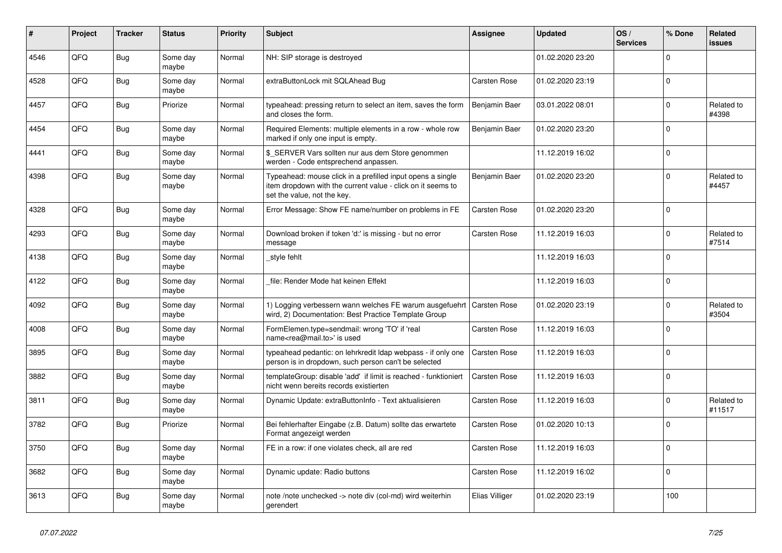| ∦    | Project | <b>Tracker</b> | <b>Status</b>     | <b>Priority</b> | <b>Subject</b>                                                                                                                                           | <b>Assignee</b>     | <b>Updated</b>   | OS/<br><b>Services</b> | % Done      | Related<br><b>issues</b> |
|------|---------|----------------|-------------------|-----------------|----------------------------------------------------------------------------------------------------------------------------------------------------------|---------------------|------------------|------------------------|-------------|--------------------------|
| 4546 | QFQ     | <b>Bug</b>     | Some day<br>maybe | Normal          | NH: SIP storage is destroyed                                                                                                                             |                     | 01.02.2020 23:20 |                        | $\Omega$    |                          |
| 4528 | QFQ     | Bug            | Some day<br>maybe | Normal          | extraButtonLock mit SQLAhead Bug                                                                                                                         | <b>Carsten Rose</b> | 01.02.2020 23:19 |                        | $\mathbf 0$ |                          |
| 4457 | QFQ     | <b>Bug</b>     | Priorize          | Normal          | typeahead: pressing return to select an item, saves the form<br>and closes the form.                                                                     | Benjamin Baer       | 03.01.2022 08:01 |                        | $\Omega$    | Related to<br>#4398      |
| 4454 | QFQ     | <b>Bug</b>     | Some day<br>maybe | Normal          | Required Elements: multiple elements in a row - whole row<br>marked if only one input is empty.                                                          | Benjamin Baer       | 01.02.2020 23:20 |                        | $\mathbf 0$ |                          |
| 4441 | QFQ     | <b>Bug</b>     | Some day<br>maybe | Normal          | \$_SERVER Vars sollten nur aus dem Store genommen<br>werden - Code entsprechend anpassen.                                                                |                     | 11.12.2019 16:02 |                        | $\mathbf 0$ |                          |
| 4398 | QFQ     | <b>Bug</b>     | Some day<br>maybe | Normal          | Typeahead: mouse click in a prefilled input opens a single<br>item dropdown with the current value - click on it seems to<br>set the value, not the key. | Benjamin Baer       | 01.02.2020 23:20 |                        | $\Omega$    | Related to<br>#4457      |
| 4328 | QFQ     | <b>Bug</b>     | Some day<br>maybe | Normal          | Error Message: Show FE name/number on problems in FE                                                                                                     | Carsten Rose        | 01.02.2020 23:20 |                        | $\mathbf 0$ |                          |
| 4293 | QFQ     | <b>Bug</b>     | Some day<br>maybe | Normal          | Download broken if token 'd:' is missing - but no error<br>message                                                                                       | Carsten Rose        | 11.12.2019 16:03 |                        | $\Omega$    | Related to<br>#7514      |
| 4138 | QFQ     | Bug            | Some day<br>maybe | Normal          | style fehlt                                                                                                                                              |                     | 11.12.2019 16:03 |                        | $\mathbf 0$ |                          |
| 4122 | QFQ     | <b>Bug</b>     | Some day<br>maybe | Normal          | file: Render Mode hat keinen Effekt                                                                                                                      |                     | 11.12.2019 16:03 |                        | $\mathbf 0$ |                          |
| 4092 | QFQ     | <b>Bug</b>     | Some day<br>maybe | Normal          | 1) Logging verbessern wann welches FE warum ausgefuehrt   Carsten Rose<br>wird, 2) Documentation: Best Practice Template Group                           |                     | 01.02.2020 23:19 |                        | $\Omega$    | Related to<br>#3504      |
| 4008 | QFQ     | <b>Bug</b>     | Some day<br>maybe | Normal          | FormElemen.type=sendmail: wrong 'TO' if 'real<br>name <rea@mail.to>' is used</rea@mail.to>                                                               | Carsten Rose        | 11.12.2019 16:03 |                        | $\mathbf 0$ |                          |
| 3895 | QFQ     | <b>Bug</b>     | Some day<br>maybe | Normal          | typeahead pedantic: on lehrkredit Idap webpass - if only one<br>person is in dropdown, such person can't be selected                                     | Carsten Rose        | 11.12.2019 16:03 |                        | $\Omega$    |                          |
| 3882 | QFQ     | <b>Bug</b>     | Some day<br>maybe | Normal          | templateGroup: disable 'add' if limit is reached - funktioniert<br>nicht wenn bereits records existierten                                                | Carsten Rose        | 11.12.2019 16:03 |                        | $\mathsf 0$ |                          |
| 3811 | QFQ     | <b>Bug</b>     | Some day<br>maybe | Normal          | Dynamic Update: extraButtonInfo - Text aktualisieren                                                                                                     | Carsten Rose        | 11.12.2019 16:03 |                        | $\mathbf 0$ | Related to<br>#11517     |
| 3782 | QFQ     | <b>Bug</b>     | Priorize          | Normal          | Bei fehlerhafter Eingabe (z.B. Datum) sollte das erwartete<br>Format angezeigt werden                                                                    | Carsten Rose        | 01.02.2020 10:13 |                        | $\Omega$    |                          |
| 3750 | QFQ     | Bug            | Some day<br>maybe | Normal          | FE in a row: if one violates check, all are red                                                                                                          | Carsten Rose        | 11.12.2019 16:03 |                        | $\Omega$    |                          |
| 3682 | QFQ     | <b>Bug</b>     | Some day<br>maybe | Normal          | Dynamic update: Radio buttons                                                                                                                            | Carsten Rose        | 11.12.2019 16:02 |                        | $\Omega$    |                          |
| 3613 | QFQ     | <b>Bug</b>     | Some day<br>maybe | Normal          | note /note unchecked -> note div (col-md) wird weiterhin<br>gerendert                                                                                    | Elias Villiger      | 01.02.2020 23:19 |                        | 100         |                          |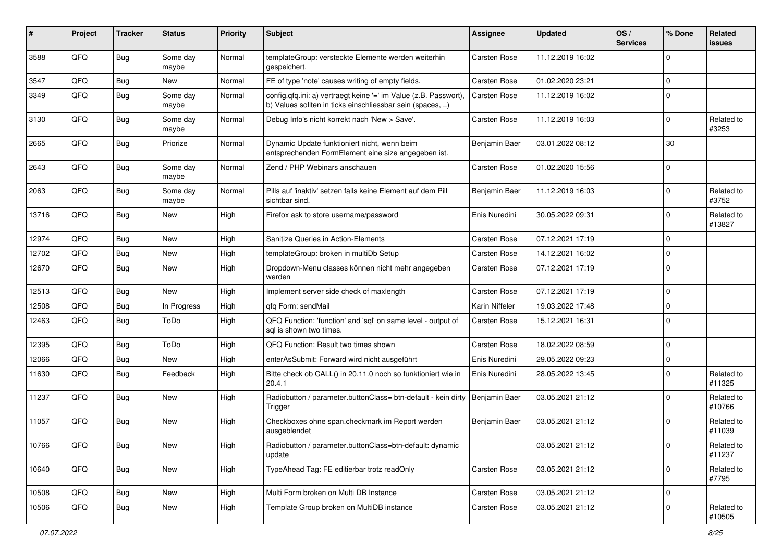| #     | Project | <b>Tracker</b> | <b>Status</b>     | <b>Priority</b> | <b>Subject</b>                                                                                                                | <b>Assignee</b> | <b>Updated</b>   | OS/<br><b>Services</b> | % Done      | Related<br><b>issues</b> |
|-------|---------|----------------|-------------------|-----------------|-------------------------------------------------------------------------------------------------------------------------------|-----------------|------------------|------------------------|-------------|--------------------------|
| 3588  | QFQ     | Bug            | Some day<br>maybe | Normal          | templateGroup: versteckte Elemente werden weiterhin<br>gespeichert.                                                           | Carsten Rose    | 11.12.2019 16:02 |                        | $\mathbf 0$ |                          |
| 3547  | QFQ     | Bug            | New               | Normal          | FE of type 'note' causes writing of empty fields.                                                                             | Carsten Rose    | 01.02.2020 23:21 |                        | $\mathbf 0$ |                          |
| 3349  | QFQ     | Bug            | Some day<br>maybe | Normal          | config.qfq.ini: a) vertraegt keine '=' im Value (z.B. Passwort),<br>b) Values sollten in ticks einschliessbar sein (spaces, ) | Carsten Rose    | 11.12.2019 16:02 |                        | $\Omega$    |                          |
| 3130  | QFQ     | Bug            | Some day<br>maybe | Normal          | Debug Info's nicht korrekt nach 'New > Save'.                                                                                 | Carsten Rose    | 11.12.2019 16:03 |                        | $\mathbf 0$ | Related to<br>#3253      |
| 2665  | QFQ     | Bug            | Priorize          | Normal          | Dynamic Update funktioniert nicht, wenn beim<br>entsprechenden FormElement eine size angegeben ist.                           | Benjamin Baer   | 03.01.2022 08:12 |                        | 30          |                          |
| 2643  | QFQ     | Bug            | Some day<br>maybe | Normal          | Zend / PHP Webinars anschauen                                                                                                 | Carsten Rose    | 01.02.2020 15:56 |                        | $\mathbf 0$ |                          |
| 2063  | QFQ     | Bug            | Some day<br>maybe | Normal          | Pills auf 'inaktiv' setzen falls keine Element auf dem Pill<br>sichtbar sind.                                                 | Benjamin Baer   | 11.12.2019 16:03 |                        | $\mathbf 0$ | Related to<br>#3752      |
| 13716 | QFQ     | Bug            | New               | High            | Firefox ask to store username/password                                                                                        | Enis Nuredini   | 30.05.2022 09:31 |                        | $\mathbf 0$ | Related to<br>#13827     |
| 12974 | QFQ     | Bug            | <b>New</b>        | High            | Sanitize Queries in Action-Elements                                                                                           | Carsten Rose    | 07.12.2021 17:19 |                        | $\mathbf 0$ |                          |
| 12702 | QFQ     | Bug            | New               | High            | templateGroup: broken in multiDb Setup                                                                                        | Carsten Rose    | 14.12.2021 16:02 |                        | $\Omega$    |                          |
| 12670 | QFQ     | Bug            | <b>New</b>        | High            | Dropdown-Menu classes können nicht mehr angegeben<br>werden                                                                   | Carsten Rose    | 07.12.2021 17:19 |                        | $\mathbf 0$ |                          |
| 12513 | QFQ     | Bug            | <b>New</b>        | High            | Implement server side check of maxlength                                                                                      | Carsten Rose    | 07.12.2021 17:19 |                        | $\mathbf 0$ |                          |
| 12508 | QFQ     | <b>Bug</b>     | In Progress       | High            | gfg Form: sendMail                                                                                                            | Karin Niffeler  | 19.03.2022 17:48 |                        | $\mathbf 0$ |                          |
| 12463 | QFQ     | Bug            | ToDo              | High            | QFQ Function: 'function' and 'sql' on same level - output of<br>sal is shown two times.                                       | Carsten Rose    | 15.12.2021 16:31 |                        | $\Omega$    |                          |
| 12395 | QFQ     | Bug            | ToDo              | High            | QFQ Function: Result two times shown                                                                                          | Carsten Rose    | 18.02.2022 08:59 |                        | $\mathbf 0$ |                          |
| 12066 | QFQ     | Bug            | <b>New</b>        | High            | enterAsSubmit: Forward wird nicht ausgeführt                                                                                  | Enis Nuredini   | 29.05.2022 09:23 |                        | $\mathbf 0$ |                          |
| 11630 | QFQ     | Bug            | Feedback          | High            | Bitte check ob CALL() in 20.11.0 noch so funktioniert wie in<br>20.4.1                                                        | Enis Nuredini   | 28.05.2022 13:45 |                        | $\Omega$    | Related to<br>#11325     |
| 11237 | QFQ     | Bug            | <b>New</b>        | High            | Radiobutton / parameter.buttonClass= btn-default - kein dirty<br>Trigger                                                      | Benjamin Baer   | 03.05.2021 21:12 |                        | $\Omega$    | Related to<br>#10766     |
| 11057 | QFQ     | Bug            | New               | High            | Checkboxes ohne span.checkmark im Report werden<br>ausgeblendet                                                               | Benjamin Baer   | 03.05.2021 21:12 |                        | $\mathbf 0$ | Related to<br>#11039     |
| 10766 | QFQ     | Bug            | New               | High            | Radiobutton / parameter.buttonClass=btn-default: dynamic<br>update                                                            |                 | 03.05.2021 21:12 |                        | 0           | Related to<br>#11237     |
| 10640 | QFQ     | <b>Bug</b>     | New               | High            | TypeAhead Tag: FE editierbar trotz readOnly                                                                                   | Carsten Rose    | 03.05.2021 21:12 |                        | $\mathbf 0$ | Related to<br>#7795      |
| 10508 | QFQ     | Bug            | New               | High            | Multi Form broken on Multi DB Instance                                                                                        | Carsten Rose    | 03.05.2021 21:12 |                        | $\mathbf 0$ |                          |
| 10506 | QFQ     | <b>Bug</b>     | New               | High            | Template Group broken on MultiDB instance                                                                                     | Carsten Rose    | 03.05.2021 21:12 |                        | $\mathbf 0$ | Related to<br>#10505     |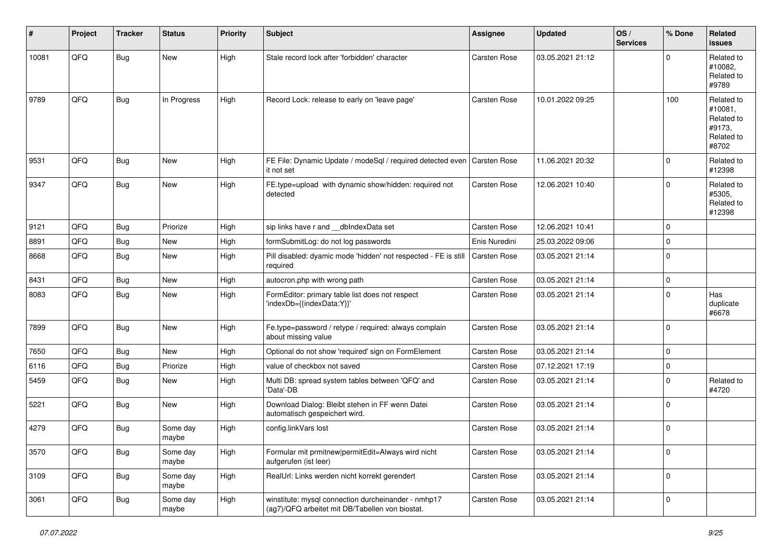| #     | Project | <b>Tracker</b> | <b>Status</b>     | <b>Priority</b> | Subject                                                                                                | <b>Assignee</b> | <b>Updated</b>   | OS/<br><b>Services</b> | % Done      | <b>Related</b><br><b>issues</b>                                      |
|-------|---------|----------------|-------------------|-----------------|--------------------------------------------------------------------------------------------------------|-----------------|------------------|------------------------|-------------|----------------------------------------------------------------------|
| 10081 | QFQ     | <b>Bug</b>     | New               | High            | Stale record lock after 'forbidden' character                                                          | Carsten Rose    | 03.05.2021 21:12 |                        | $\mathbf 0$ | Related to<br>#10082,<br>Related to<br>#9789                         |
| 9789  | QFQ     | Bug            | In Progress       | High            | Record Lock: release to early on 'leave page'                                                          | Carsten Rose    | 10.01.2022 09:25 |                        | 100         | Related to<br>#10081,<br>Related to<br>#9173,<br>Related to<br>#8702 |
| 9531  | QFQ     | Bug            | New               | High            | FE File: Dynamic Update / modeSql / required detected even<br>it not set                               | Carsten Rose    | 11.06.2021 20:32 |                        | $\mathbf 0$ | Related to<br>#12398                                                 |
| 9347  | QFQ     | <b>Bug</b>     | New               | High            | FE.type=upload with dynamic show/hidden: required not<br>detected                                      | Carsten Rose    | 12.06.2021 10:40 |                        | $\mathbf 0$ | Related to<br>#5305,<br>Related to<br>#12398                         |
| 9121  | QFQ     | Bug            | Priorize          | High            | sip links have r and __dbIndexData set                                                                 | Carsten Rose    | 12.06.2021 10:41 |                        | $\mathbf 0$ |                                                                      |
| 8891  | QFQ     | <b>Bug</b>     | New               | High            | formSubmitLog: do not log passwords                                                                    | Enis Nuredini   | 25.03.2022 09:06 |                        | $\mathbf 0$ |                                                                      |
| 8668  | QFQ     | <b>Bug</b>     | New               | High            | Pill disabled: dyamic mode 'hidden' not respected - FE is still<br>required                            | Carsten Rose    | 03.05.2021 21:14 |                        | $\Omega$    |                                                                      |
| 8431  | QFQ     | Bug            | New               | High            | autocron.php with wrong path                                                                           | Carsten Rose    | 03.05.2021 21:14 |                        | $\pmb{0}$   |                                                                      |
| 8083  | QFQ     | <b>Bug</b>     | New               | High            | FormEditor: primary table list does not respect<br>'indexDb={{indexData:Y}}'                           | Carsten Rose    | 03.05.2021 21:14 |                        | $\Omega$    | Has<br>duplicate<br>#6678                                            |
| 7899  | QFQ     | Bug            | New               | High            | Fe.type=password / retype / required: always complain<br>about missing value                           | Carsten Rose    | 03.05.2021 21:14 |                        | $\mathbf 0$ |                                                                      |
| 7650  | QFQ     | Bug            | New               | High            | Optional do not show 'required' sign on FormElement                                                    | Carsten Rose    | 03.05.2021 21:14 |                        | $\mathbf 0$ |                                                                      |
| 6116  | QFQ     | Bug            | Priorize          | High            | value of checkbox not saved                                                                            | Carsten Rose    | 07.12.2021 17:19 |                        | $\mathbf 0$ |                                                                      |
| 5459  | QFQ     | <b>Bug</b>     | <b>New</b>        | High            | Multi DB: spread system tables between 'QFQ' and<br>'Data'-DB                                          | Carsten Rose    | 03.05.2021 21:14 |                        | $\mathbf 0$ | Related to<br>#4720                                                  |
| 5221  | QFQ     | Bug            | New               | High            | Download Dialog: Bleibt stehen in FF wenn Datei<br>automatisch gespeichert wird.                       | Carsten Rose    | 03.05.2021 21:14 |                        | $\mathbf 0$ |                                                                      |
| 4279  | QFQ     | Bug            | Some day<br>maybe | High            | config.linkVars lost                                                                                   | Carsten Rose    | 03.05.2021 21:14 |                        | $\mathbf 0$ |                                                                      |
| 3570  | QFQ     | Bug            | Some day<br>maybe | High            | Formular mit prmitnew permitEdit=Always wird nicht<br>aufgerufen (ist leer)                            | Carsten Rose    | 03.05.2021 21:14 |                        | $\pmb{0}$   |                                                                      |
| 3109  | QFQ     | Bug            | Some day<br>maybe | High            | RealUrl: Links werden nicht korrekt gerendert                                                          | Carsten Rose    | 03.05.2021 21:14 |                        | $\mathbf 0$ |                                                                      |
| 3061  | QFQ     | <b>Bug</b>     | Some day<br>maybe | High            | winstitute: mysql connection durcheinander - nmhp17<br>(ag7)/QFQ arbeitet mit DB/Tabellen von biostat. | Carsten Rose    | 03.05.2021 21:14 |                        | $\pmb{0}$   |                                                                      |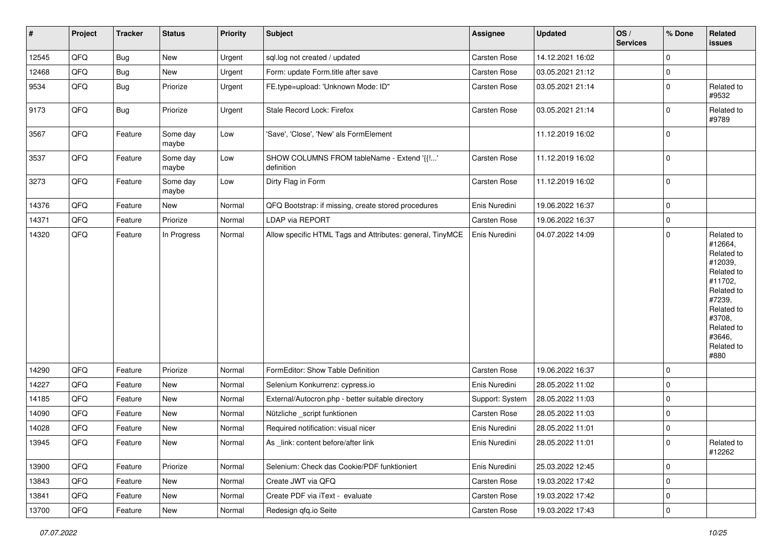| #     | Project | <b>Tracker</b> | <b>Status</b>     | <b>Priority</b> | <b>Subject</b>                                            | <b>Assignee</b>     | <b>Updated</b>   | OS/<br><b>Services</b> | % Done      | Related<br>issues                                                                                                                                                     |
|-------|---------|----------------|-------------------|-----------------|-----------------------------------------------------------|---------------------|------------------|------------------------|-------------|-----------------------------------------------------------------------------------------------------------------------------------------------------------------------|
| 12545 | QFQ     | <b>Bug</b>     | New               | Urgent          | sql.log not created / updated                             | Carsten Rose        | 14.12.2021 16:02 |                        | $\mathbf 0$ |                                                                                                                                                                       |
| 12468 | QFQ     | <b>Bug</b>     | New               | Urgent          | Form: update Form.title after save                        | <b>Carsten Rose</b> | 03.05.2021 21:12 |                        | 0           |                                                                                                                                                                       |
| 9534  | QFQ     | Bug            | Priorize          | Urgent          | FE.type=upload: 'Unknown Mode: ID"                        | Carsten Rose        | 03.05.2021 21:14 |                        | 0           | Related to<br>#9532                                                                                                                                                   |
| 9173  | QFQ     | <b>Bug</b>     | Priorize          | Urgent          | Stale Record Lock: Firefox                                | Carsten Rose        | 03.05.2021 21:14 |                        | $\Omega$    | Related to<br>#9789                                                                                                                                                   |
| 3567  | QFQ     | Feature        | Some day<br>maybe | Low             | 'Save', 'Close', 'New' als FormElement                    |                     | 11.12.2019 16:02 |                        | $\mathbf 0$ |                                                                                                                                                                       |
| 3537  | QFQ     | Feature        | Some day<br>maybe | Low             | SHOW COLUMNS FROM tableName - Extend '{{!'<br>definition  | <b>Carsten Rose</b> | 11.12.2019 16:02 |                        | 0           |                                                                                                                                                                       |
| 3273  | QFQ     | Feature        | Some day<br>maybe | Low             | Dirty Flag in Form                                        | <b>Carsten Rose</b> | 11.12.2019 16:02 |                        | 0           |                                                                                                                                                                       |
| 14376 | QFQ     | Feature        | New               | Normal          | QFQ Bootstrap: if missing, create stored procedures       | Enis Nuredini       | 19.06.2022 16:37 |                        | $\mathbf 0$ |                                                                                                                                                                       |
| 14371 | QFQ     | Feature        | Priorize          | Normal          | <b>LDAP via REPORT</b>                                    | Carsten Rose        | 19.06.2022 16:37 |                        | 0           |                                                                                                                                                                       |
| 14320 | QFQ     | Feature        | In Progress       | Normal          | Allow specific HTML Tags and Attributes: general, TinyMCE | Enis Nuredini       | 04.07.2022 14:09 |                        | $\mathbf 0$ | Related to<br>#12664.<br>Related to<br>#12039,<br>Related to<br>#11702,<br>Related to<br>#7239,<br>Related to<br>#3708,<br>Related to<br>#3646,<br>Related to<br>#880 |
| 14290 | QFQ     | Feature        | Priorize          | Normal          | FormEditor: Show Table Definition                         | Carsten Rose        | 19.06.2022 16:37 |                        | 0           |                                                                                                                                                                       |
| 14227 | QFQ     | Feature        | New               | Normal          | Selenium Konkurrenz: cypress.io                           | Enis Nuredini       | 28.05.2022 11:02 |                        | 0           |                                                                                                                                                                       |
| 14185 | QFQ     | Feature        | New               | Normal          | External/Autocron.php - better suitable directory         | Support: System     | 28.05.2022 11:03 |                        | $\mathbf 0$ |                                                                                                                                                                       |
| 14090 | QFQ     | Feature        | New               | Normal          | Nützliche _script funktionen                              | <b>Carsten Rose</b> | 28.05.2022 11:03 |                        | 0           |                                                                                                                                                                       |
| 14028 | QFQ     | Feature        | New               | Normal          | Required notification: visual nicer                       | Enis Nuredini       | 28.05.2022 11:01 |                        | 0           |                                                                                                                                                                       |
| 13945 | QFQ     | Feature        | New               | Normal          | As _link: content before/after link                       | Enis Nuredini       | 28.05.2022 11:01 |                        | 0           | Related to<br>#12262                                                                                                                                                  |
| 13900 | QFQ     | Feature        | Priorize          | Normal          | Selenium: Check das Cookie/PDF funktioniert               | Enis Nuredini       | 25.03.2022 12:45 |                        | $\mathbf 0$ |                                                                                                                                                                       |
| 13843 | QFQ     | Feature        | New               | Normal          | Create JWT via QFQ                                        | Carsten Rose        | 19.03.2022 17:42 |                        | 0           |                                                                                                                                                                       |
| 13841 | QFQ     | Feature        | New               | Normal          | Create PDF via iText - evaluate                           | Carsten Rose        | 19.03.2022 17:42 |                        | 0           |                                                                                                                                                                       |
| 13700 | QFQ     | Feature        | New               | Normal          | Redesign qfq.io Seite                                     | Carsten Rose        | 19.03.2022 17:43 |                        | 0           |                                                                                                                                                                       |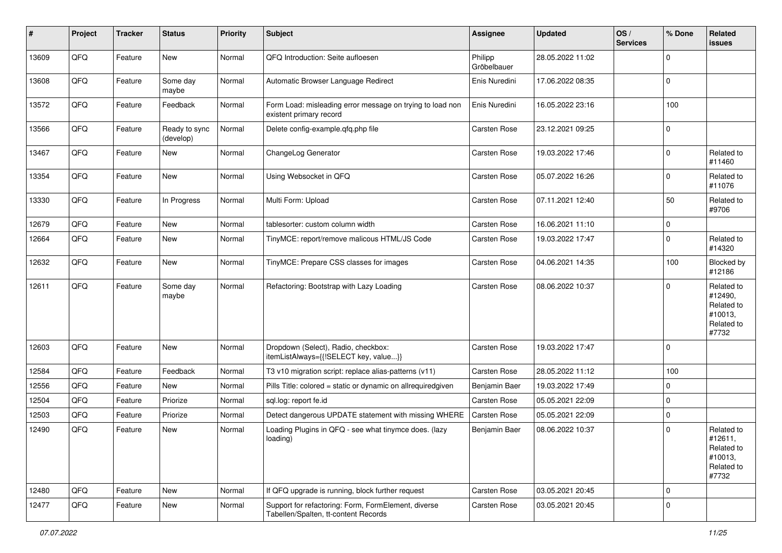| ∦     | Project | <b>Tracker</b> | <b>Status</b>              | <b>Priority</b> | Subject                                                                                     | Assignee               | <b>Updated</b>   | OS/<br><b>Services</b> | % Done              | Related<br><b>issues</b>                                              |
|-------|---------|----------------|----------------------------|-----------------|---------------------------------------------------------------------------------------------|------------------------|------------------|------------------------|---------------------|-----------------------------------------------------------------------|
| 13609 | QFQ     | Feature        | <b>New</b>                 | Normal          | QFQ Introduction: Seite aufloesen                                                           | Philipp<br>Gröbelbauer | 28.05.2022 11:02 |                        | $\mathbf 0$         |                                                                       |
| 13608 | QFQ     | Feature        | Some day<br>maybe          | Normal          | Automatic Browser Language Redirect                                                         | Enis Nuredini          | 17.06.2022 08:35 |                        | $\mathbf 0$         |                                                                       |
| 13572 | QFQ     | Feature        | Feedback                   | Normal          | Form Load: misleading error message on trying to load non<br>existent primary record        | Enis Nuredini          | 16.05.2022 23:16 |                        | 100                 |                                                                       |
| 13566 | QFQ     | Feature        | Ready to sync<br>(develop) | Normal          | Delete config-example.qfq.php file                                                          | <b>Carsten Rose</b>    | 23.12.2021 09:25 |                        | $\mathbf 0$         |                                                                       |
| 13467 | QFQ     | Feature        | New                        | Normal          | ChangeLog Generator                                                                         | <b>Carsten Rose</b>    | 19.03.2022 17:46 |                        | $\mathbf 0$         | Related to<br>#11460                                                  |
| 13354 | QFQ     | Feature        | New                        | Normal          | Using Websocket in QFQ                                                                      | Carsten Rose           | 05.07.2022 16:26 |                        | $\mathbf 0$         | Related to<br>#11076                                                  |
| 13330 | QFQ     | Feature        | In Progress                | Normal          | Multi Form: Upload                                                                          | Carsten Rose           | 07.11.2021 12:40 |                        | 50                  | Related to<br>#9706                                                   |
| 12679 | QFQ     | Feature        | <b>New</b>                 | Normal          | tablesorter: custom column width                                                            | <b>Carsten Rose</b>    | 16.06.2021 11:10 |                        | $\mathsf{O}\xspace$ |                                                                       |
| 12664 | QFQ     | Feature        | New                        | Normal          | TinyMCE: report/remove malicous HTML/JS Code                                                | Carsten Rose           | 19.03.2022 17:47 |                        | $\mathbf 0$         | Related to<br>#14320                                                  |
| 12632 | QFQ     | Feature        | New                        | Normal          | TinyMCE: Prepare CSS classes for images                                                     | Carsten Rose           | 04.06.2021 14:35 |                        | 100                 | Blocked by<br>#12186                                                  |
| 12611 | QFQ     | Feature        | Some day<br>maybe          | Normal          | Refactoring: Bootstrap with Lazy Loading                                                    | Carsten Rose           | 08.06.2022 10:37 |                        | $\mathbf 0$         | Related to<br>#12490,<br>Related to<br>#10013,<br>Related to<br>#7732 |
| 12603 | QFQ     | Feature        | New                        | Normal          | Dropdown (Select), Radio, checkbox:<br>itemListAlways={{!SELECT key, value}}                | <b>Carsten Rose</b>    | 19.03.2022 17:47 |                        | $\mathbf 0$         |                                                                       |
| 12584 | QFQ     | Feature        | Feedback                   | Normal          | T3 v10 migration script: replace alias-patterns (v11)                                       | Carsten Rose           | 28.05.2022 11:12 |                        | 100                 |                                                                       |
| 12556 | QFQ     | Feature        | New                        | Normal          | Pills Title: colored = static or dynamic on allrequiredgiven                                | Benjamin Baer          | 19.03.2022 17:49 |                        | $\mathbf 0$         |                                                                       |
| 12504 | QFQ     | Feature        | Priorize                   | Normal          | sql.log: report fe.id                                                                       | <b>Carsten Rose</b>    | 05.05.2021 22:09 |                        | $\mathbf 0$         |                                                                       |
| 12503 | QFQ     | Feature        | Priorize                   | Normal          | Detect dangerous UPDATE statement with missing WHERE                                        | Carsten Rose           | 05.05.2021 22:09 |                        | $\mathbf 0$         |                                                                       |
| 12490 | QFQ     | Feature        | New                        | Normal          | Loading Plugins in QFQ - see what tinymce does. (lazy<br>loading)                           | Benjamin Baer          | 08.06.2022 10:37 |                        | $\mathbf 0$         | Related to<br>#12611,<br>Related to<br>#10013,<br>Related to<br>#7732 |
| 12480 | QFQ     | Feature        | New                        | Normal          | If QFQ upgrade is running, block further request                                            | Carsten Rose           | 03.05.2021 20:45 |                        | $\mathbf 0$         |                                                                       |
| 12477 | QFQ     | Feature        | New                        | Normal          | Support for refactoring: Form, FormElement, diverse<br>Tabellen/Spalten, tt-content Records | Carsten Rose           | 03.05.2021 20:45 |                        | $\mathbf 0$         |                                                                       |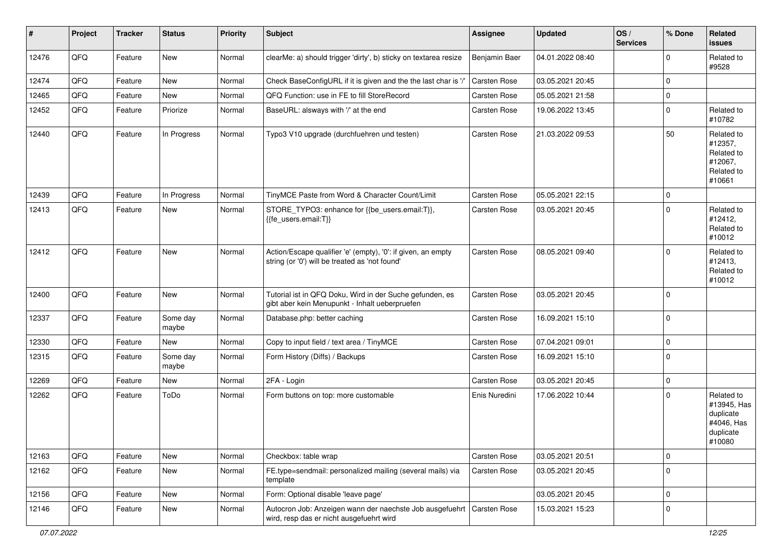| #     | Project | <b>Tracker</b> | <b>Status</b>     | <b>Priority</b> | <b>Subject</b>                                                                                                      | Assignee      | <b>Updated</b>   | OS/<br><b>Services</b> | % Done      | Related<br>issues                                                           |
|-------|---------|----------------|-------------------|-----------------|---------------------------------------------------------------------------------------------------------------------|---------------|------------------|------------------------|-------------|-----------------------------------------------------------------------------|
| 12476 | QFQ     | Feature        | <b>New</b>        | Normal          | clearMe: a) should trigger 'dirty', b) sticky on textarea resize                                                    | Benjamin Baer | 04.01.2022 08:40 |                        | $\Omega$    | Related to<br>#9528                                                         |
| 12474 | QFQ     | Feature        | New               | Normal          | Check BaseConfigURL if it is given and the the last char is '/'                                                     | Carsten Rose  | 03.05.2021 20:45 |                        | $\Omega$    |                                                                             |
| 12465 | QFQ     | Feature        | <b>New</b>        | Normal          | QFQ Function: use in FE to fill StoreRecord                                                                         | Carsten Rose  | 05.05.2021 21:58 |                        | $\Omega$    |                                                                             |
| 12452 | QFQ     | Feature        | Priorize          | Normal          | BaseURL: alsways with '/' at the end                                                                                | Carsten Rose  | 19.06.2022 13:45 |                        | $\Omega$    | Related to<br>#10782                                                        |
| 12440 | QFQ     | Feature        | In Progress       | Normal          | Typo3 V10 upgrade (durchfuehren und testen)                                                                         | Carsten Rose  | 21.03.2022 09:53 |                        | 50          | Related to<br>#12357,<br>Related to<br>#12067,<br>Related to<br>#10661      |
| 12439 | QFQ     | Feature        | In Progress       | Normal          | TinyMCE Paste from Word & Character Count/Limit                                                                     | Carsten Rose  | 05.05.2021 22:15 |                        | 0           |                                                                             |
| 12413 | QFQ     | Feature        | New               | Normal          | STORE_TYPO3: enhance for {{be_users.email:T}},<br>{{fe_users.email:T}}                                              | Carsten Rose  | 03.05.2021 20:45 |                        | $\Omega$    | Related to<br>#12412,<br>Related to<br>#10012                               |
| 12412 | QFQ     | Feature        | New               | Normal          | Action/Escape qualifier 'e' (empty), '0': if given, an empty<br>string (or '0') will be treated as 'not found'      | Carsten Rose  | 08.05.2021 09:40 |                        | $\Omega$    | Related to<br>#12413,<br>Related to<br>#10012                               |
| 12400 | QFQ     | Feature        | New               | Normal          | Tutorial ist in QFQ Doku, Wird in der Suche gefunden, es<br>gibt aber kein Menupunkt - Inhalt ueberpruefen          | Carsten Rose  | 03.05.2021 20:45 |                        | $\Omega$    |                                                                             |
| 12337 | QFQ     | Feature        | Some day<br>maybe | Normal          | Database.php: better caching                                                                                        | Carsten Rose  | 16.09.2021 15:10 |                        | $\Omega$    |                                                                             |
| 12330 | QFQ     | Feature        | New               | Normal          | Copy to input field / text area / TinyMCE                                                                           | Carsten Rose  | 07.04.2021 09:01 |                        | $\mathbf 0$ |                                                                             |
| 12315 | QFQ     | Feature        | Some day<br>maybe | Normal          | Form History (Diffs) / Backups                                                                                      | Carsten Rose  | 16.09.2021 15:10 |                        | $\mathbf 0$ |                                                                             |
| 12269 | QFQ     | Feature        | <b>New</b>        | Normal          | 2FA - Login                                                                                                         | Carsten Rose  | 03.05.2021 20:45 |                        | $\mathbf 0$ |                                                                             |
| 12262 | QFQ     | Feature        | ToDo              | Normal          | Form buttons on top: more customable                                                                                | Enis Nuredini | 17.06.2022 10:44 |                        | $\Omega$    | Related to<br>#13945, Has<br>duplicate<br>#4046, Has<br>duplicate<br>#10080 |
| 12163 | QFQ     | Feature        | New               | Normal          | Checkbox: table wrap                                                                                                | Carsten Rose  | 03.05.2021 20:51 |                        | $\mathbf 0$ |                                                                             |
| 12162 | QFQ     | Feature        | New               | Normal          | FE.type=sendmail: personalized mailing (several mails) via<br>template                                              | Carsten Rose  | 03.05.2021 20:45 |                        | $\mathbf 0$ |                                                                             |
| 12156 | QFQ     | Feature        | New               | Normal          | Form: Optional disable 'leave page'                                                                                 |               | 03.05.2021 20:45 |                        | $\mathbf 0$ |                                                                             |
| 12146 | QFQ     | Feature        | New               | Normal          | Autocron Job: Anzeigen wann der naechste Job ausgefuehrt   Carsten Rose<br>wird, resp das er nicht ausgefuehrt wird |               | 15.03.2021 15:23 |                        | $\mathbf 0$ |                                                                             |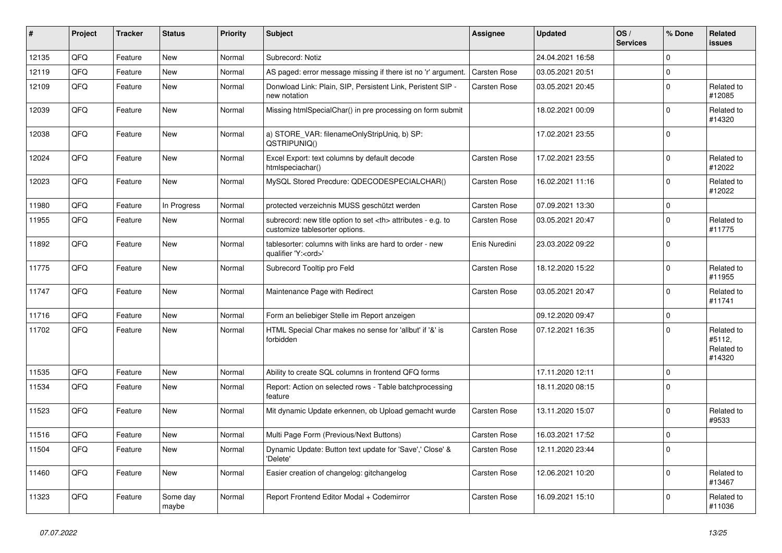| #     | Project | <b>Tracker</b> | <b>Status</b>     | <b>Priority</b> | Subject                                                                                              | Assignee                                               | <b>Updated</b>      | OS/<br><b>Services</b> | % Done      | Related<br><b>issues</b>                     |                      |
|-------|---------|----------------|-------------------|-----------------|------------------------------------------------------------------------------------------------------|--------------------------------------------------------|---------------------|------------------------|-------------|----------------------------------------------|----------------------|
| 12135 | QFQ     | Feature        | <b>New</b>        | Normal          | Subrecord: Notiz                                                                                     |                                                        | 24.04.2021 16:58    |                        | $\Omega$    |                                              |                      |
| 12119 | QFQ     | Feature        | New               | Normal          | AS paged: error message missing if there ist no 'r' argument.                                        | Carsten Rose                                           | 03.05.2021 20:51    |                        | $\mathbf 0$ |                                              |                      |
| 12109 | QFQ     | Feature        | New               | Normal          | Donwload Link: Plain, SIP, Persistent Link, Peristent SIP -<br>new notation                          | <b>Carsten Rose</b>                                    | 03.05.2021 20:45    |                        | $\mathbf 0$ | Related to<br>#12085                         |                      |
| 12039 | QFQ     | Feature        | New               | Normal          | Missing htmlSpecialChar() in pre processing on form submit                                           |                                                        | 18.02.2021 00:09    |                        | $\mathbf 0$ | Related to<br>#14320                         |                      |
| 12038 | QFQ     | Feature        | <b>New</b>        | Normal          | a) STORE_VAR: filenameOnlyStripUniq, b) SP:<br>QSTRIPUNIQ()                                          |                                                        | 17.02.2021 23:55    |                        | $\mathbf 0$ |                                              |                      |
| 12024 | QFQ     | Feature        | New               | Normal          | Excel Export: text columns by default decode<br>htmlspeciachar()                                     | Carsten Rose                                           | 17.02.2021 23:55    |                        | $\mathbf 0$ | Related to<br>#12022                         |                      |
| 12023 | QFQ     | Feature        | <b>New</b>        | Normal          | MySQL Stored Precdure: QDECODESPECIALCHAR()                                                          | Carsten Rose                                           | 16.02.2021 11:16    |                        | $\mathbf 0$ | Related to<br>#12022                         |                      |
| 11980 | QFQ     | Feature        | In Progress       | Normal          | protected verzeichnis MUSS geschützt werden                                                          | Carsten Rose                                           | 07.09.2021 13:30    |                        | $\mathbf 0$ |                                              |                      |
| 11955 | QFQ     | Feature        | New               | Normal          | subrecord: new title option to set <th> attributes - e.g. to<br/>customize tablesorter options.</th> | attributes - e.g. to<br>customize tablesorter options. | <b>Carsten Rose</b> | 03.05.2021 20:47       |             | $\mathbf 0$                                  | Related to<br>#11775 |
| 11892 | QFQ     | Feature        | <b>New</b>        | Normal          | tablesorter: columns with links are hard to order - new<br>qualifier 'Y: <ord>'</ord>                | Enis Nuredini                                          | 23.03.2022 09:22    |                        | $\mathbf 0$ |                                              |                      |
| 11775 | QFQ     | Feature        | New               | Normal          | Subrecord Tooltip pro Feld                                                                           | Carsten Rose                                           | 18.12.2020 15:22    |                        | $\mathbf 0$ | Related to<br>#11955                         |                      |
| 11747 | QFQ     | Feature        | New               | Normal          | Maintenance Page with Redirect                                                                       | <b>Carsten Rose</b>                                    | 03.05.2021 20:47    |                        | $\mathbf 0$ | Related to<br>#11741                         |                      |
| 11716 | QFQ     | Feature        | <b>New</b>        | Normal          | Form an beliebiger Stelle im Report anzeigen                                                         |                                                        | 09.12.2020 09:47    |                        | $\mathbf 0$ |                                              |                      |
| 11702 | QFQ     | Feature        | <b>New</b>        | Normal          | HTML Special Char makes no sense for 'allbut' if '&' is<br>forbidden                                 | Carsten Rose                                           | 07.12.2021 16:35    |                        | $\Omega$    | Related to<br>#5112,<br>Related to<br>#14320 |                      |
| 11535 | QFQ     | Feature        | New               | Normal          | Ability to create SQL columns in frontend QFQ forms                                                  |                                                        | 17.11.2020 12:11    |                        | $\mathbf 0$ |                                              |                      |
| 11534 | QFQ     | Feature        | New               | Normal          | Report: Action on selected rows - Table batchprocessing<br>feature                                   |                                                        | 18.11.2020 08:15    |                        | $\Omega$    |                                              |                      |
| 11523 | QFQ     | Feature        | <b>New</b>        | Normal          | Mit dynamic Update erkennen, ob Upload gemacht wurde                                                 | Carsten Rose                                           | 13.11.2020 15:07    |                        | $\mathbf 0$ | Related to<br>#9533                          |                      |
| 11516 | QFQ     | Feature        | New               | Normal          | Multi Page Form (Previous/Next Buttons)                                                              | <b>Carsten Rose</b>                                    | 16.03.2021 17:52    |                        | $\mathbf 0$ |                                              |                      |
| 11504 | QFQ     | Feature        | New               | Normal          | Dynamic Update: Button text update for 'Save',' Close' &<br>'Delete'                                 | Carsten Rose                                           | 12.11.2020 23:44    |                        | $\mathbf 0$ |                                              |                      |
| 11460 | QFQ     | Feature        | New               | Normal          | Easier creation of changelog: gitchangelog                                                           | Carsten Rose                                           | 12.06.2021 10:20    |                        | $\mathbf 0$ | Related to<br>#13467                         |                      |
| 11323 | QFQ     | Feature        | Some day<br>maybe | Normal          | Report Frontend Editor Modal + Codemirror                                                            | Carsten Rose                                           | 16.09.2021 15:10    |                        | 0           | Related to<br>#11036                         |                      |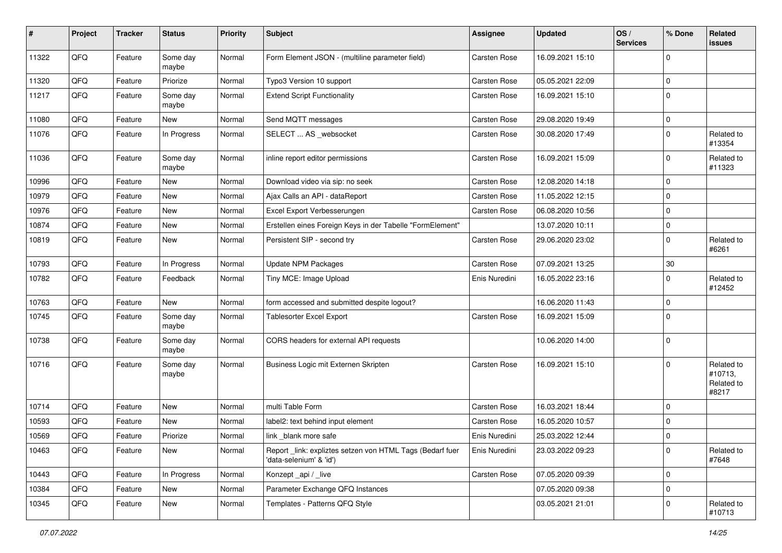| $\vert$ # | Project | <b>Tracker</b> | <b>Status</b>     | <b>Priority</b> | <b>Subject</b>                                                                      | Assignee      | <b>Updated</b>   | OS/<br><b>Services</b> | % Done      | Related<br>issues                            |
|-----------|---------|----------------|-------------------|-----------------|-------------------------------------------------------------------------------------|---------------|------------------|------------------------|-------------|----------------------------------------------|
| 11322     | QFQ     | Feature        | Some day<br>maybe | Normal          | Form Element JSON - (multiline parameter field)                                     | Carsten Rose  | 16.09.2021 15:10 |                        | $\mathbf 0$ |                                              |
| 11320     | QFQ     | Feature        | Priorize          | Normal          | Typo3 Version 10 support                                                            | Carsten Rose  | 05.05.2021 22:09 |                        | $\mathbf 0$ |                                              |
| 11217     | QFQ     | Feature        | Some day<br>maybe | Normal          | <b>Extend Script Functionality</b>                                                  | Carsten Rose  | 16.09.2021 15:10 |                        | $\mathbf 0$ |                                              |
| 11080     | QFQ     | Feature        | New               | Normal          | Send MQTT messages                                                                  | Carsten Rose  | 29.08.2020 19:49 |                        | $\mathbf 0$ |                                              |
| 11076     | QFQ     | Feature        | In Progress       | Normal          | SELECT  AS _websocket                                                               | Carsten Rose  | 30.08.2020 17:49 |                        | $\mathbf 0$ | Related to<br>#13354                         |
| 11036     | QFQ     | Feature        | Some day<br>maybe | Normal          | inline report editor permissions                                                    | Carsten Rose  | 16.09.2021 15:09 |                        | $\mathbf 0$ | Related to<br>#11323                         |
| 10996     | QFQ     | Feature        | New               | Normal          | Download video via sip: no seek                                                     | Carsten Rose  | 12.08.2020 14:18 |                        | $\mathbf 0$ |                                              |
| 10979     | QFQ     | Feature        | New               | Normal          | Ajax Calls an API - dataReport                                                      | Carsten Rose  | 11.05.2022 12:15 |                        | $\mathbf 0$ |                                              |
| 10976     | QFQ     | Feature        | New               | Normal          | Excel Export Verbesserungen                                                         | Carsten Rose  | 06.08.2020 10:56 |                        | $\mathbf 0$ |                                              |
| 10874     | QFQ     | Feature        | New               | Normal          | Erstellen eines Foreign Keys in der Tabelle "FormElement"                           |               | 13.07.2020 10:11 |                        | $\mathbf 0$ |                                              |
| 10819     | QFQ     | Feature        | New               | Normal          | Persistent SIP - second try                                                         | Carsten Rose  | 29.06.2020 23:02 |                        | $\mathbf 0$ | Related to<br>#6261                          |
| 10793     | QFQ     | Feature        | In Progress       | Normal          | Update NPM Packages                                                                 | Carsten Rose  | 07.09.2021 13:25 |                        | 30          |                                              |
| 10782     | QFQ     | Feature        | Feedback          | Normal          | Tiny MCE: Image Upload                                                              | Enis Nuredini | 16.05.2022 23:16 |                        | $\mathbf 0$ | Related to<br>#12452                         |
| 10763     | QFQ     | Feature        | New               | Normal          | form accessed and submitted despite logout?                                         |               | 16.06.2020 11:43 |                        | $\mathbf 0$ |                                              |
| 10745     | QFQ     | Feature        | Some day<br>maybe | Normal          | <b>Tablesorter Excel Export</b>                                                     | Carsten Rose  | 16.09.2021 15:09 |                        | $\mathbf 0$ |                                              |
| 10738     | QFQ     | Feature        | Some day<br>maybe | Normal          | CORS headers for external API requests                                              |               | 10.06.2020 14:00 |                        | $\mathbf 0$ |                                              |
| 10716     | QFQ     | Feature        | Some day<br>maybe | Normal          | Business Logic mit Externen Skripten                                                | Carsten Rose  | 16.09.2021 15:10 |                        | $\mathbf 0$ | Related to<br>#10713,<br>Related to<br>#8217 |
| 10714     | QFQ     | Feature        | New               | Normal          | multi Table Form                                                                    | Carsten Rose  | 16.03.2021 18:44 |                        | $\mathbf 0$ |                                              |
| 10593     | QFQ     | Feature        | New               | Normal          | label2: text behind input element                                                   | Carsten Rose  | 16.05.2020 10:57 |                        | $\mathbf 0$ |                                              |
| 10569     | QFQ     | Feature        | Priorize          | Normal          | link blank more safe                                                                | Enis Nuredini | 25.03.2022 12:44 |                        | $\mathbf 0$ |                                              |
| 10463     | QFQ     | Feature        | New               | Normal          | Report_link: expliztes setzen von HTML Tags (Bedarf fuer<br>'data-selenium' & 'id') | Enis Nuredini | 23.03.2022 09:23 |                        | 0           | Related to<br>#7648                          |
| 10443     | QFQ     | Feature        | In Progress       | Normal          | Konzept_api / _live                                                                 | Carsten Rose  | 07.05.2020 09:39 |                        | $\mathbf 0$ |                                              |
| 10384     | QFQ     | Feature        | New               | Normal          | Parameter Exchange QFQ Instances                                                    |               | 07.05.2020 09:38 |                        | $\mathbf 0$ |                                              |
| 10345     | QFQ     | Feature        | New               | Normal          | Templates - Patterns QFQ Style                                                      |               | 03.05.2021 21:01 |                        | $\mathbf 0$ | Related to<br>#10713                         |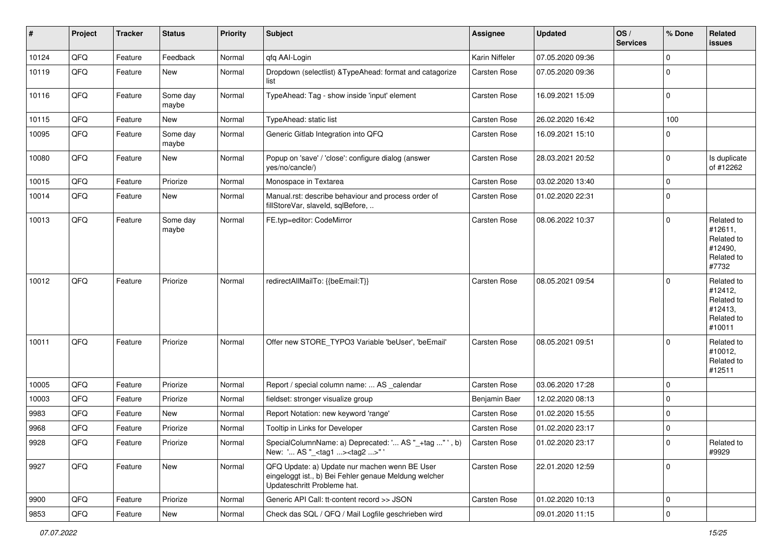| #     | Project | <b>Tracker</b> | <b>Status</b>     | <b>Priority</b> | <b>Subject</b>                                                                                                                        | <b>Assignee</b>     | <b>Updated</b>   | OS/<br><b>Services</b> | % Done              | Related<br>issues                                                      |
|-------|---------|----------------|-------------------|-----------------|---------------------------------------------------------------------------------------------------------------------------------------|---------------------|------------------|------------------------|---------------------|------------------------------------------------------------------------|
| 10124 | QFQ     | Feature        | Feedback          | Normal          | qfq AAI-Login                                                                                                                         | Karin Niffeler      | 07.05.2020 09:36 |                        | $\Omega$            |                                                                        |
| 10119 | QFQ     | Feature        | New               | Normal          | Dropdown (selectlist) & TypeAhead: format and catagorize<br>list                                                                      | <b>Carsten Rose</b> | 07.05.2020 09:36 |                        | $\Omega$            |                                                                        |
| 10116 | QFQ     | Feature        | Some day<br>maybe | Normal          | TypeAhead: Tag - show inside 'input' element                                                                                          | Carsten Rose        | 16.09.2021 15:09 |                        | $\mathbf 0$         |                                                                        |
| 10115 | QFQ     | Feature        | New               | Normal          | TypeAhead: static list                                                                                                                | Carsten Rose        | 26.02.2020 16:42 |                        | 100                 |                                                                        |
| 10095 | QFQ     | Feature        | Some day<br>maybe | Normal          | Generic Gitlab Integration into QFQ                                                                                                   | Carsten Rose        | 16.09.2021 15:10 |                        | $\Omega$            |                                                                        |
| 10080 | QFQ     | Feature        | New               | Normal          | Popup on 'save' / 'close': configure dialog (answer<br>yes/no/cancle/)                                                                | <b>Carsten Rose</b> | 28.03.2021 20:52 |                        | $\mathbf 0$         | Is duplicate<br>of #12262                                              |
| 10015 | QFQ     | Feature        | Priorize          | Normal          | Monospace in Textarea                                                                                                                 | Carsten Rose        | 03.02.2020 13:40 |                        | $\mathbf 0$         |                                                                        |
| 10014 | QFQ     | Feature        | New               | Normal          | Manual.rst: describe behaviour and process order of<br>fillStoreVar, slaveId, sqlBefore,                                              | Carsten Rose        | 01.02.2020 22:31 |                        | $\mathbf 0$         |                                                                        |
| 10013 | QFQ     | Feature        | Some day<br>maybe | Normal          | FE.typ=editor: CodeMirror                                                                                                             | Carsten Rose        | 08.06.2022 10:37 |                        | 0                   | Related to<br>#12611,<br>Related to<br>#12490,<br>Related to<br>#7732  |
| 10012 | QFQ     | Feature        | Priorize          | Normal          | redirectAllMailTo: {{beEmail:T}}                                                                                                      | <b>Carsten Rose</b> | 08.05.2021 09:54 |                        | $\Omega$            | Related to<br>#12412,<br>Related to<br>#12413,<br>Related to<br>#10011 |
| 10011 | QFQ     | Feature        | Priorize          | Normal          | Offer new STORE_TYPO3 Variable 'beUser', 'beEmail'                                                                                    | <b>Carsten Rose</b> | 08.05.2021 09:51 |                        | $\Omega$            | Related to<br>#10012,<br>Related to<br>#12511                          |
| 10005 | QFQ     | Feature        | Priorize          | Normal          | Report / special column name:  AS _calendar                                                                                           | Carsten Rose        | 03.06.2020 17:28 |                        | 0                   |                                                                        |
| 10003 | QFQ     | Feature        | Priorize          | Normal          | fieldset: stronger visualize group                                                                                                    | Benjamin Baer       | 12.02.2020 08:13 |                        | $\mathbf 0$         |                                                                        |
| 9983  | QFQ     | Feature        | New               | Normal          | Report Notation: new keyword 'range'                                                                                                  | Carsten Rose        | 01.02.2020 15:55 |                        | 0                   |                                                                        |
| 9968  | QFQ     | Feature        | Priorize          | Normal          | Tooltip in Links for Developer                                                                                                        | Carsten Rose        | 01.02.2020 23:17 |                        | $\mathbf 0$         |                                                                        |
| 9928  | QFQ     | Feature        | Priorize          | Normal          | SpecialColumnName: a) Deprecated: ' AS "_+tag " ', b)<br>New: ' AS "_ <tag1><tag2>"'</tag2></tag1>                                    | Carsten Rose        | 01.02.2020 23:17 |                        |                     | Related to<br>#9929                                                    |
| 9927  | QFQ     | Feature        | New               | Normal          | QFQ Update: a) Update nur machen wenn BE User<br>eingeloggt ist., b) Bei Fehler genaue Meldung welcher<br>Updateschritt Probleme hat. | Carsten Rose        | 22.01.2020 12:59 |                        | $\overline{0}$      |                                                                        |
| 9900  | QFQ     | Feature        | Priorize          | Normal          | Generic API Call: tt-content record >> JSON                                                                                           | Carsten Rose        | 01.02.2020 10:13 |                        | $\mathbf 0$         |                                                                        |
| 9853  | QFQ     | Feature        | New               | Normal          | Check das SQL / QFQ / Mail Logfile geschrieben wird                                                                                   |                     | 09.01.2020 11:15 |                        | $\mathsf{O}\xspace$ |                                                                        |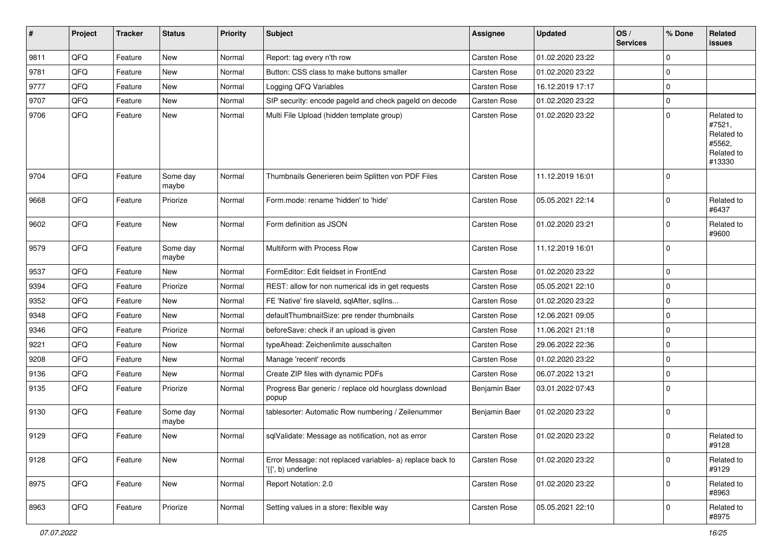| $\sharp$ | Project | <b>Tracker</b> | <b>Status</b>     | <b>Priority</b> | Subject                                                                         | Assignee      | <b>Updated</b>   | OS/<br><b>Services</b> | % Done      | Related<br><b>issues</b>                                             |
|----------|---------|----------------|-------------------|-----------------|---------------------------------------------------------------------------------|---------------|------------------|------------------------|-------------|----------------------------------------------------------------------|
| 9811     | QFQ     | Feature        | New               | Normal          | Report: tag every n'th row                                                      | Carsten Rose  | 01.02.2020 23:22 |                        | $\mathbf 0$ |                                                                      |
| 9781     | QFQ     | Feature        | New               | Normal          | Button: CSS class to make buttons smaller                                       | Carsten Rose  | 01.02.2020 23:22 |                        | $\pmb{0}$   |                                                                      |
| 9777     | QFQ     | Feature        | New               | Normal          | Logging QFQ Variables                                                           | Carsten Rose  | 16.12.2019 17:17 |                        | $\mathbf 0$ |                                                                      |
| 9707     | QFQ     | Feature        | New               | Normal          | SIP security: encode pageld and check pageld on decode                          | Carsten Rose  | 01.02.2020 23:22 |                        | $\pmb{0}$   |                                                                      |
| 9706     | QFQ     | Feature        | New               | Normal          | Multi File Upload (hidden template group)                                       | Carsten Rose  | 01.02.2020 23:22 |                        | $\Omega$    | Related to<br>#7521,<br>Related to<br>#5562,<br>Related to<br>#13330 |
| 9704     | QFQ     | Feature        | Some day<br>maybe | Normal          | Thumbnails Generieren beim Splitten von PDF Files                               | Carsten Rose  | 11.12.2019 16:01 |                        | $\Omega$    |                                                                      |
| 9668     | QFQ     | Feature        | Priorize          | Normal          | Form.mode: rename 'hidden' to 'hide'                                            | Carsten Rose  | 05.05.2021 22:14 |                        | $\Omega$    | Related to<br>#6437                                                  |
| 9602     | QFQ     | Feature        | New               | Normal          | Form definition as JSON                                                         | Carsten Rose  | 01.02.2020 23:21 |                        | $\Omega$    | Related to<br>#9600                                                  |
| 9579     | QFQ     | Feature        | Some day<br>maybe | Normal          | Multiform with Process Row                                                      | Carsten Rose  | 11.12.2019 16:01 |                        | $\mathbf 0$ |                                                                      |
| 9537     | QFQ     | Feature        | New               | Normal          | FormEditor: Edit fieldset in FrontEnd                                           | Carsten Rose  | 01.02.2020 23:22 |                        | $\mathbf 0$ |                                                                      |
| 9394     | QFQ     | Feature        | Priorize          | Normal          | REST: allow for non numerical ids in get requests                               | Carsten Rose  | 05.05.2021 22:10 |                        | $\mathbf 0$ |                                                                      |
| 9352     | QFQ     | Feature        | New               | Normal          | FE 'Native' fire slaveld, sqlAfter, sqlIns                                      | Carsten Rose  | 01.02.2020 23:22 |                        | 0           |                                                                      |
| 9348     | QFQ     | Feature        | New               | Normal          | defaultThumbnailSize: pre render thumbnails                                     | Carsten Rose  | 12.06.2021 09:05 |                        | $\mathbf 0$ |                                                                      |
| 9346     | QFQ     | Feature        | Priorize          | Normal          | beforeSave: check if an upload is given                                         | Carsten Rose  | 11.06.2021 21:18 |                        | $\mathbf 0$ |                                                                      |
| 9221     | QFQ     | Feature        | New               | Normal          | typeAhead: Zeichenlimite ausschalten                                            | Carsten Rose  | 29.06.2022 22:36 |                        | $\pmb{0}$   |                                                                      |
| 9208     | QFQ     | Feature        | New               | Normal          | Manage 'recent' records                                                         | Carsten Rose  | 01.02.2020 23:22 |                        | $\mathbf 0$ |                                                                      |
| 9136     | QFQ     | Feature        | New               | Normal          | Create ZIP files with dynamic PDFs                                              | Carsten Rose  | 06.07.2022 13:21 |                        | 0           |                                                                      |
| 9135     | QFQ     | Feature        | Priorize          | Normal          | Progress Bar generic / replace old hourglass download<br>popup                  | Benjamin Baer | 03.01.2022 07:43 |                        | $\Omega$    |                                                                      |
| 9130     | QFQ     | Feature        | Some day<br>maybe | Normal          | tablesorter: Automatic Row numbering / Zeilenummer                              | Benjamin Baer | 01.02.2020 23:22 |                        | $\mathbf 0$ |                                                                      |
| 9129     | QFQ     | Feature        | <b>New</b>        | Normal          | sqlValidate: Message as notification, not as error                              | Carsten Rose  | 01.02.2020 23:22 |                        | $\mathbf 0$ | Related to<br>#9128                                                  |
| 9128     | QFQ     | Feature        | New               | Normal          | Error Message: not replaced variables- a) replace back to<br>'{{', b) underline | Carsten Rose  | 01.02.2020 23:22 |                        | $\mathbf 0$ | Related to<br>#9129                                                  |
| 8975     | QFQ     | Feature        | New               | Normal          | Report Notation: 2.0                                                            | Carsten Rose  | 01.02.2020 23:22 |                        | $\mathbf 0$ | Related to<br>#8963                                                  |
| 8963     | QFG     | Feature        | Priorize          | Normal          | Setting values in a store: flexible way                                         | Carsten Rose  | 05.05.2021 22:10 |                        | $\mathbf 0$ | Related to<br>#8975                                                  |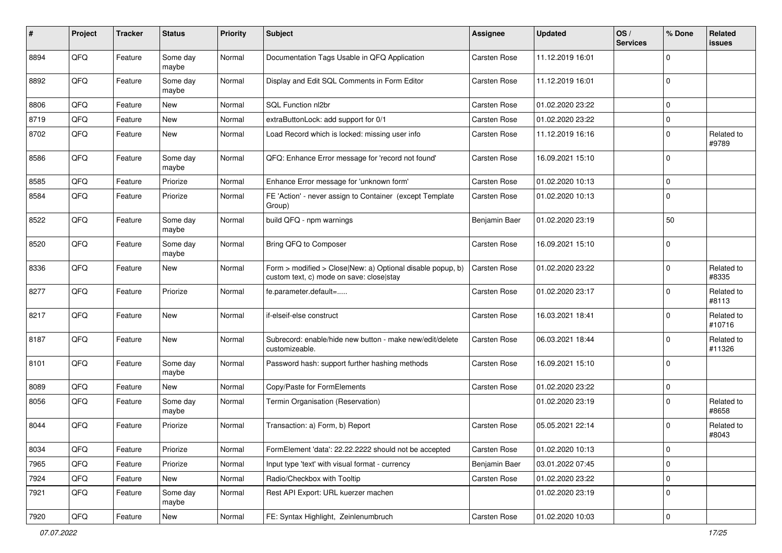| #    | Project | <b>Tracker</b> | <b>Status</b>     | <b>Priority</b> | Subject                                                                                                | Assignee            | <b>Updated</b>   | OS/<br><b>Services</b> | % Done      | Related<br>issues    |
|------|---------|----------------|-------------------|-----------------|--------------------------------------------------------------------------------------------------------|---------------------|------------------|------------------------|-------------|----------------------|
| 8894 | QFQ     | Feature        | Some day<br>maybe | Normal          | Documentation Tags Usable in QFQ Application                                                           | Carsten Rose        | 11.12.2019 16:01 |                        | $\mathbf 0$ |                      |
| 8892 | QFQ     | Feature        | Some day<br>maybe | Normal          | Display and Edit SQL Comments in Form Editor                                                           | Carsten Rose        | 11.12.2019 16:01 |                        | $\mathbf 0$ |                      |
| 8806 | QFQ     | Feature        | New               | Normal          | SQL Function nl2br                                                                                     | Carsten Rose        | 01.02.2020 23:22 |                        | $\Omega$    |                      |
| 8719 | QFQ     | Feature        | New               | Normal          | extraButtonLock: add support for 0/1                                                                   | Carsten Rose        | 01.02.2020 23:22 |                        | $\mathbf 0$ |                      |
| 8702 | QFQ     | Feature        | New               | Normal          | Load Record which is locked: missing user info                                                         | Carsten Rose        | 11.12.2019 16:16 |                        | $\mathbf 0$ | Related to<br>#9789  |
| 8586 | QFQ     | Feature        | Some day<br>maybe | Normal          | QFQ: Enhance Error message for 'record not found'                                                      | <b>Carsten Rose</b> | 16.09.2021 15:10 |                        | 0           |                      |
| 8585 | QFQ     | Feature        | Priorize          | Normal          | Enhance Error message for 'unknown form'                                                               | Carsten Rose        | 01.02.2020 10:13 |                        | $\mathbf 0$ |                      |
| 8584 | QFQ     | Feature        | Priorize          | Normal          | FE 'Action' - never assign to Container (except Template<br>Group)                                     | Carsten Rose        | 01.02.2020 10:13 |                        | $\mathbf 0$ |                      |
| 8522 | QFQ     | Feature        | Some day<br>maybe | Normal          | build QFQ - npm warnings                                                                               | Benjamin Baer       | 01.02.2020 23:19 |                        | 50          |                      |
| 8520 | QFQ     | Feature        | Some day<br>maybe | Normal          | Bring QFQ to Composer                                                                                  | Carsten Rose        | 16.09.2021 15:10 |                        | $\mathbf 0$ |                      |
| 8336 | QFQ     | Feature        | New               | Normal          | Form > modified > Close New: a) Optional disable popup, b)<br>custom text, c) mode on save: closelstay | Carsten Rose        | 01.02.2020 23:22 |                        | $\mathbf 0$ | Related to<br>#8335  |
| 8277 | QFQ     | Feature        | Priorize          | Normal          | fe.parameter.default=                                                                                  | <b>Carsten Rose</b> | 01.02.2020 23:17 |                        | $\mathbf 0$ | Related to<br>#8113  |
| 8217 | QFQ     | Feature        | New               | Normal          | if-elseif-else construct                                                                               | Carsten Rose        | 16.03.2021 18:41 |                        | $\Omega$    | Related to<br>#10716 |
| 8187 | QFQ     | Feature        | New               | Normal          | Subrecord: enable/hide new button - make new/edit/delete<br>customizeable.                             | Carsten Rose        | 06.03.2021 18:44 |                        | $\Omega$    | Related to<br>#11326 |
| 8101 | QFQ     | Feature        | Some day<br>maybe | Normal          | Password hash: support further hashing methods                                                         | Carsten Rose        | 16.09.2021 15:10 |                        | $\Omega$    |                      |
| 8089 | QFQ     | Feature        | New               | Normal          | Copy/Paste for FormElements                                                                            | Carsten Rose        | 01.02.2020 23:22 |                        | 0           |                      |
| 8056 | QFQ     | Feature        | Some day<br>maybe | Normal          | Termin Organisation (Reservation)                                                                      |                     | 01.02.2020 23:19 |                        | $\mathbf 0$ | Related to<br>#8658  |
| 8044 | QFQ     | Feature        | Priorize          | Normal          | Transaction: a) Form, b) Report                                                                        | <b>Carsten Rose</b> | 05.05.2021 22:14 |                        | $\Omega$    | Related to<br>#8043  |
| 8034 | QFQ     | Feature        | Priorize          | Normal          | FormElement 'data': 22.22.2222 should not be accepted                                                  | Carsten Rose        | 01.02.2020 10:13 |                        | 0           |                      |
| 7965 | QFQ     | Feature        | Priorize          | Normal          | Input type 'text' with visual format - currency                                                        | Benjamin Baer       | 03.01.2022 07:45 |                        | 0           |                      |
| 7924 | QFQ     | Feature        | New               | Normal          | Radio/Checkbox with Tooltip                                                                            | Carsten Rose        | 01.02.2020 23:22 |                        | 0           |                      |
| 7921 | QFQ     | Feature        | Some day<br>maybe | Normal          | Rest API Export: URL kuerzer machen                                                                    |                     | 01.02.2020 23:19 |                        | 0           |                      |
| 7920 | QFQ     | Feature        | New               | Normal          | FE: Syntax Highlight, Zeinlenumbruch                                                                   | Carsten Rose        | 01.02.2020 10:03 |                        | 0           |                      |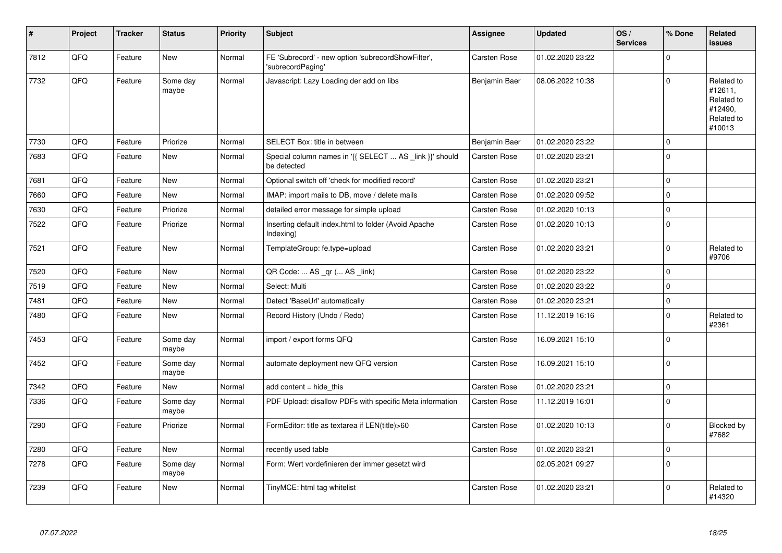| $\vert$ # | Project | <b>Tracker</b> | <b>Status</b>     | <b>Priority</b> | <b>Subject</b>                                                          | <b>Assignee</b>     | <b>Updated</b>   | OS/<br><b>Services</b> | % Done      | <b>Related</b><br><b>issues</b>                                        |
|-----------|---------|----------------|-------------------|-----------------|-------------------------------------------------------------------------|---------------------|------------------|------------------------|-------------|------------------------------------------------------------------------|
| 7812      | QFQ     | Feature        | <b>New</b>        | Normal          | FE 'Subrecord' - new option 'subrecordShowFilter',<br>'subrecordPaging' | Carsten Rose        | 01.02.2020 23:22 |                        | $\Omega$    |                                                                        |
| 7732      | QFQ     | Feature        | Some dav<br>maybe | Normal          | Javascript: Lazy Loading der add on libs                                | Benjamin Baer       | 08.06.2022 10:38 |                        | $\Omega$    | Related to<br>#12611,<br>Related to<br>#12490,<br>Related to<br>#10013 |
| 7730      | QFQ     | Feature        | Priorize          | Normal          | SELECT Box: title in between                                            | Benjamin Baer       | 01.02.2020 23:22 |                        | $\Omega$    |                                                                        |
| 7683      | QFQ     | Feature        | New               | Normal          | Special column names in '{{ SELECT  AS _link }}' should<br>be detected  | Carsten Rose        | 01.02.2020 23:21 |                        | $\mathbf 0$ |                                                                        |
| 7681      | QFQ     | Feature        | New               | Normal          | Optional switch off 'check for modified record'                         | Carsten Rose        | 01.02.2020 23:21 |                        | $\Omega$    |                                                                        |
| 7660      | QFQ     | Feature        | <b>New</b>        | Normal          | IMAP: import mails to DB, move / delete mails                           | Carsten Rose        | 01.02.2020 09:52 |                        | $\mathbf 0$ |                                                                        |
| 7630      | QFQ     | Feature        | Priorize          | Normal          | detailed error message for simple upload                                | Carsten Rose        | 01.02.2020 10:13 |                        | $\Omega$    |                                                                        |
| 7522      | QFQ     | Feature        | Priorize          | Normal          | Inserting default index.html to folder (Avoid Apache<br>Indexing)       | <b>Carsten Rose</b> | 01.02.2020 10:13 |                        | $\mathbf 0$ |                                                                        |
| 7521      | QFQ     | Feature        | New               | Normal          | TemplateGroup: fe.type=upload                                           | Carsten Rose        | 01.02.2020 23:21 |                        | $\mathbf 0$ | Related to<br>#9706                                                    |
| 7520      | QFQ     | Feature        | <b>New</b>        | Normal          | QR Code:  AS _qr ( AS _link)                                            | Carsten Rose        | 01.02.2020 23:22 |                        | $\Omega$    |                                                                        |
| 7519      | QFQ     | Feature        | New               | Normal          | Select: Multi                                                           | Carsten Rose        | 01.02.2020 23:22 |                        | $\Omega$    |                                                                        |
| 7481      | QFQ     | Feature        | New               | Normal          | Detect 'BaseUrl' automatically                                          | <b>Carsten Rose</b> | 01.02.2020 23:21 |                        | $\mathbf 0$ |                                                                        |
| 7480      | QFQ     | Feature        | New               | Normal          | Record History (Undo / Redo)                                            | Carsten Rose        | 11.12.2019 16:16 |                        | $\Omega$    | Related to<br>#2361                                                    |
| 7453      | QFQ     | Feature        | Some day<br>maybe | Normal          | import / export forms QFQ                                               | Carsten Rose        | 16.09.2021 15:10 |                        | $\Omega$    |                                                                        |
| 7452      | QFQ     | Feature        | Some day<br>maybe | Normal          | automate deployment new QFQ version                                     | Carsten Rose        | 16.09.2021 15:10 |                        | $\Omega$    |                                                                        |
| 7342      | QFQ     | Feature        | New               | Normal          | add content $=$ hide this                                               | <b>Carsten Rose</b> | 01.02.2020 23:21 |                        | $\mathbf 0$ |                                                                        |
| 7336      | QFQ     | Feature        | Some day<br>maybe | Normal          | PDF Upload: disallow PDFs with specific Meta information                | <b>Carsten Rose</b> | 11.12.2019 16:01 |                        | $\Omega$    |                                                                        |
| 7290      | QFQ     | Feature        | Priorize          | Normal          | FormEditor: title as textarea if LEN(title)>60                          | Carsten Rose        | 01.02.2020 10:13 |                        | $\Omega$    | Blocked by<br>#7682                                                    |
| 7280      | QFQ     | Feature        | <b>New</b>        | Normal          | recently used table                                                     | Carsten Rose        | 01.02.2020 23:21 |                        | $\mathbf 0$ |                                                                        |
| 7278      | QFQ     | Feature        | Some day<br>maybe | Normal          | Form: Wert vordefinieren der immer gesetzt wird                         |                     | 02.05.2021 09:27 |                        | $\Omega$    |                                                                        |
| 7239      | QFQ     | Feature        | New               | Normal          | TinyMCE: html tag whitelist                                             | Carsten Rose        | 01.02.2020 23:21 |                        | $\Omega$    | Related to<br>#14320                                                   |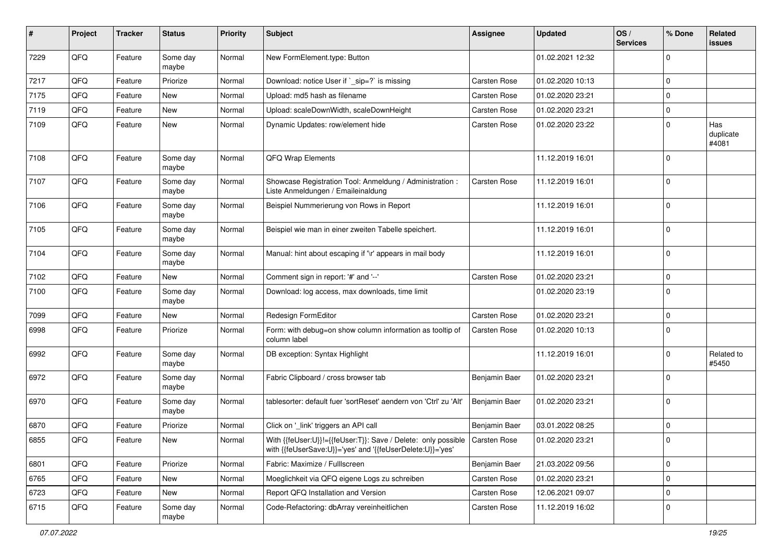| $\#$ | Project | <b>Tracker</b> | <b>Status</b>     | <b>Priority</b> | <b>Subject</b>                                                                                                             | <b>Assignee</b>     | <b>Updated</b>   | OS/<br><b>Services</b> | % Done      | Related<br>issues         |
|------|---------|----------------|-------------------|-----------------|----------------------------------------------------------------------------------------------------------------------------|---------------------|------------------|------------------------|-------------|---------------------------|
| 7229 | QFQ     | Feature        | Some day<br>maybe | Normal          | New FormElement.type: Button                                                                                               |                     | 01.02.2021 12:32 |                        | $\Omega$    |                           |
| 7217 | QFQ     | Feature        | Priorize          | Normal          | Download: notice User if `_sip=?` is missing                                                                               | Carsten Rose        | 01.02.2020 10:13 |                        | 0           |                           |
| 7175 | QFQ     | Feature        | New               | Normal          | Upload: md5 hash as filename                                                                                               | <b>Carsten Rose</b> | 01.02.2020 23:21 |                        | $\mathbf 0$ |                           |
| 7119 | QFQ     | Feature        | New               | Normal          | Upload: scaleDownWidth, scaleDownHeight                                                                                    | Carsten Rose        | 01.02.2020 23:21 |                        | $\mathbf 0$ |                           |
| 7109 | QFQ     | Feature        | New               | Normal          | Dynamic Updates: row/element hide                                                                                          | <b>Carsten Rose</b> | 01.02.2020 23:22 |                        | $\mathbf 0$ | Has<br>duplicate<br>#4081 |
| 7108 | QFQ     | Feature        | Some day<br>maybe | Normal          | QFQ Wrap Elements                                                                                                          |                     | 11.12.2019 16:01 |                        | $\mathbf 0$ |                           |
| 7107 | QFQ     | Feature        | Some day<br>maybe | Normal          | Showcase Registration Tool: Anmeldung / Administration :<br>Liste Anmeldungen / Emaileinaldung                             | <b>Carsten Rose</b> | 11.12.2019 16:01 |                        | $\mathbf 0$ |                           |
| 7106 | QFQ     | Feature        | Some day<br>maybe | Normal          | Beispiel Nummerierung von Rows in Report                                                                                   |                     | 11.12.2019 16:01 |                        | $\Omega$    |                           |
| 7105 | QFQ     | Feature        | Some day<br>maybe | Normal          | Beispiel wie man in einer zweiten Tabelle speichert.                                                                       |                     | 11.12.2019 16:01 |                        | $\mathbf 0$ |                           |
| 7104 | QFQ     | Feature        | Some day<br>maybe | Normal          | Manual: hint about escaping if '\r' appears in mail body                                                                   |                     | 11.12.2019 16:01 |                        | $\Omega$    |                           |
| 7102 | QFQ     | Feature        | New               | Normal          | Comment sign in report: '#' and '--'                                                                                       | Carsten Rose        | 01.02.2020 23:21 |                        | $\mathbf 0$ |                           |
| 7100 | QFQ     | Feature        | Some day<br>maybe | Normal          | Download: log access, max downloads, time limit                                                                            |                     | 01.02.2020 23:19 |                        | 0           |                           |
| 7099 | QFQ     | Feature        | New               | Normal          | Redesign FormEditor                                                                                                        | Carsten Rose        | 01.02.2020 23:21 |                        | $\mathbf 0$ |                           |
| 6998 | QFQ     | Feature        | Priorize          | Normal          | Form: with debug=on show column information as tooltip of<br>column label                                                  | Carsten Rose        | 01.02.2020 10:13 |                        | $\Omega$    |                           |
| 6992 | QFQ     | Feature        | Some day<br>maybe | Normal          | DB exception: Syntax Highlight                                                                                             |                     | 11.12.2019 16:01 |                        | $\Omega$    | Related to<br>#5450       |
| 6972 | QFQ     | Feature        | Some day<br>maybe | Normal          | Fabric Clipboard / cross browser tab                                                                                       | Benjamin Baer       | 01.02.2020 23:21 |                        | $\mathbf 0$ |                           |
| 6970 | QFQ     | Feature        | Some day<br>maybe | Normal          | tablesorter: default fuer 'sortReset' aendern von 'Ctrl' zu 'Alt'                                                          | Benjamin Baer       | 01.02.2020 23:21 |                        | 0           |                           |
| 6870 | QFQ     | Feature        | Priorize          | Normal          | Click on '_link' triggers an API call                                                                                      | Benjamin Baer       | 03.01.2022 08:25 |                        | $\mathbf 0$ |                           |
| 6855 | QFQ     | Feature        | New               | Normal          | With {{feUser:U}}!={{feUser:T}}: Save / Delete: only possible<br>with {{feUserSave:U}}='yes' and '{{feUserDelete:U}}='yes' | <b>Carsten Rose</b> | 01.02.2020 23:21 |                        | 0 I         |                           |
| 6801 | QFQ     | Feature        | Priorize          | Normal          | Fabric: Maximize / FullIscreen                                                                                             | Benjamin Baer       | 21.03.2022 09:56 |                        | 0           |                           |
| 6765 | QFQ     | Feature        | New               | Normal          | Moeglichkeit via QFQ eigene Logs zu schreiben                                                                              | Carsten Rose        | 01.02.2020 23:21 |                        | $\mathbf 0$ |                           |
| 6723 | QFQ     | Feature        | New               | Normal          | Report QFQ Installation and Version                                                                                        | Carsten Rose        | 12.06.2021 09:07 |                        | 0           |                           |
| 6715 | QFQ     | Feature        | Some day<br>maybe | Normal          | Code-Refactoring: dbArray vereinheitlichen                                                                                 | Carsten Rose        | 11.12.2019 16:02 |                        | 0           |                           |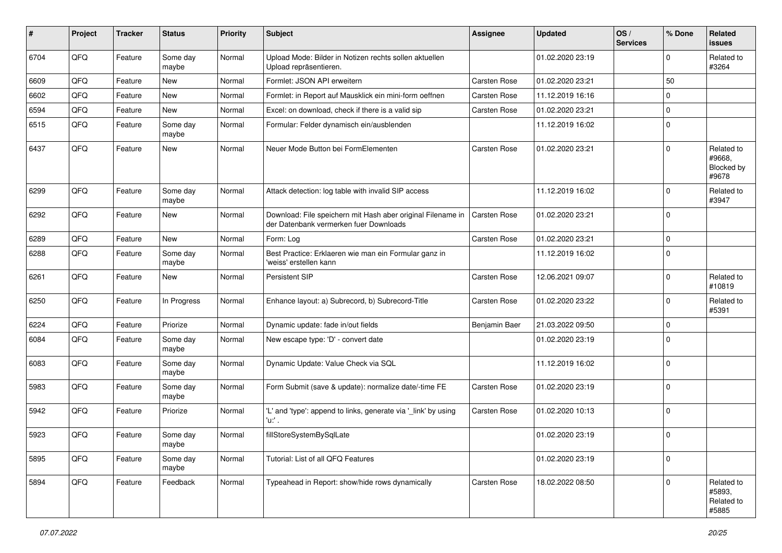| #    | Project | <b>Tracker</b> | <b>Status</b>     | <b>Priority</b> | Subject                                                                                               | Assignee            | <b>Updated</b>   | OS/<br><b>Services</b> | % Done       | Related<br><b>issues</b>                    |
|------|---------|----------------|-------------------|-----------------|-------------------------------------------------------------------------------------------------------|---------------------|------------------|------------------------|--------------|---------------------------------------------|
| 6704 | QFQ     | Feature        | Some day<br>maybe | Normal          | Upload Mode: Bilder in Notizen rechts sollen aktuellen<br>Upload repräsentieren.                      |                     | 01.02.2020 23:19 |                        | $\mathbf 0$  | Related to<br>#3264                         |
| 6609 | QFQ     | Feature        | New               | Normal          | Formlet: JSON API erweitern                                                                           | <b>Carsten Rose</b> | 01.02.2020 23:21 |                        | 50           |                                             |
| 6602 | QFQ     | Feature        | <b>New</b>        | Normal          | Formlet: in Report auf Mausklick ein mini-form oeffnen                                                | Carsten Rose        | 11.12.2019 16:16 |                        | $\mathbf{0}$ |                                             |
| 6594 | QFQ     | Feature        | New               | Normal          | Excel: on download, check if there is a valid sip                                                     | <b>Carsten Rose</b> | 01.02.2020 23:21 |                        | $\mathbf 0$  |                                             |
| 6515 | QFQ     | Feature        | Some day<br>maybe | Normal          | Formular: Felder dynamisch ein/ausblenden                                                             |                     | 11.12.2019 16:02 |                        | $\mathbf 0$  |                                             |
| 6437 | QFQ     | Feature        | New               | Normal          | Neuer Mode Button bei FormElementen                                                                   | <b>Carsten Rose</b> | 01.02.2020 23:21 |                        | $\mathbf 0$  | Related to<br>#9668,<br>Blocked by<br>#9678 |
| 6299 | QFQ     | Feature        | Some day<br>maybe | Normal          | Attack detection: log table with invalid SIP access                                                   |                     | 11.12.2019 16:02 |                        | $\mathbf 0$  | Related to<br>#3947                         |
| 6292 | QFQ     | Feature        | New               | Normal          | Download: File speichern mit Hash aber original Filename in<br>der Datenbank vermerken fuer Downloads | <b>Carsten Rose</b> | 01.02.2020 23:21 |                        | $\mathbf 0$  |                                             |
| 6289 | QFQ     | Feature        | <b>New</b>        | Normal          | Form: Log                                                                                             | <b>Carsten Rose</b> | 01.02.2020 23:21 |                        | $\mathbf 0$  |                                             |
| 6288 | QFQ     | Feature        | Some day<br>maybe | Normal          | Best Practice: Erklaeren wie man ein Formular ganz in<br>'weiss' erstellen kann                       |                     | 11.12.2019 16:02 |                        | $\mathbf 0$  |                                             |
| 6261 | QFQ     | Feature        | New               | Normal          | Persistent SIP                                                                                        | Carsten Rose        | 12.06.2021 09:07 |                        | $\mathbf 0$  | Related to<br>#10819                        |
| 6250 | QFQ     | Feature        | In Progress       | Normal          | Enhance layout: a) Subrecord, b) Subrecord-Title                                                      | Carsten Rose        | 01.02.2020 23:22 |                        | $\mathbf 0$  | Related to<br>#5391                         |
| 6224 | QFQ     | Feature        | Priorize          | Normal          | Dynamic update: fade in/out fields                                                                    | Benjamin Baer       | 21.03.2022 09:50 |                        | $\mathbf 0$  |                                             |
| 6084 | QFQ     | Feature        | Some day<br>maybe | Normal          | New escape type: 'D' - convert date                                                                   |                     | 01.02.2020 23:19 |                        | $\mathbf 0$  |                                             |
| 6083 | QFQ     | Feature        | Some day<br>maybe | Normal          | Dynamic Update: Value Check via SQL                                                                   |                     | 11.12.2019 16:02 |                        | $\mathbf 0$  |                                             |
| 5983 | QFQ     | Feature        | Some day<br>maybe | Normal          | Form Submit (save & update): normalize date/-time FE                                                  | Carsten Rose        | 01.02.2020 23:19 |                        | $\mathbf 0$  |                                             |
| 5942 | QFQ     | Feature        | Priorize          | Normal          | 'L' and 'type': append to links, generate via '_link' by using<br>'u:' .                              | Carsten Rose        | 01.02.2020 10:13 |                        | $\mathbf 0$  |                                             |
| 5923 | QFQ     | Feature        | Some day<br>maybe | Normal          | fillStoreSystemBySqlLate                                                                              |                     | 01.02.2020 23:19 |                        | $\mathbf 0$  |                                             |
| 5895 | QFQ     | Feature        | Some day<br>maybe | Normal          | Tutorial: List of all QFQ Features                                                                    |                     | 01.02.2020 23:19 |                        | $\mathbf 0$  |                                             |
| 5894 | QFQ     | Feature        | Feedback          | Normal          | Typeahead in Report: show/hide rows dynamically                                                       | Carsten Rose        | 18.02.2022 08:50 |                        | $\mathbf 0$  | Related to<br>#5893,<br>Related to<br>#5885 |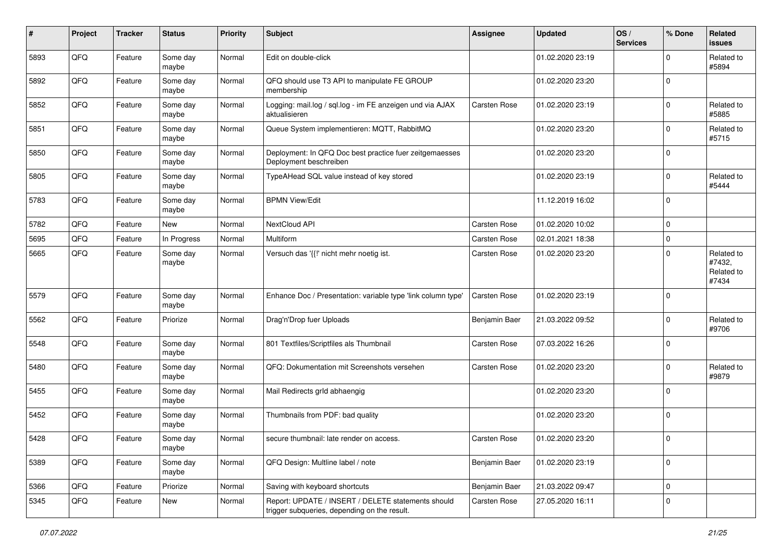| #    | Project | <b>Tracker</b> | <b>Status</b>     | <b>Priority</b> | <b>Subject</b>                                                                                     | Assignee            | <b>Updated</b>   | OS/<br><b>Services</b> | % Done              | Related<br><b>issues</b>                    |
|------|---------|----------------|-------------------|-----------------|----------------------------------------------------------------------------------------------------|---------------------|------------------|------------------------|---------------------|---------------------------------------------|
| 5893 | QFQ     | Feature        | Some day<br>maybe | Normal          | Edit on double-click                                                                               |                     | 01.02.2020 23:19 |                        | $\Omega$            | Related to<br>#5894                         |
| 5892 | QFQ     | Feature        | Some day<br>maybe | Normal          | QFQ should use T3 API to manipulate FE GROUP<br>membership                                         |                     | 01.02.2020 23:20 |                        | $\mathbf 0$         |                                             |
| 5852 | QFQ     | Feature        | Some day<br>maybe | Normal          | Logging: mail.log / sql.log - im FE anzeigen und via AJAX<br>aktualisieren                         | <b>Carsten Rose</b> | 01.02.2020 23:19 |                        | $\Omega$            | Related to<br>#5885                         |
| 5851 | QFQ     | Feature        | Some day<br>maybe | Normal          | Queue System implementieren: MQTT, RabbitMQ                                                        |                     | 01.02.2020 23:20 |                        | $\mathbf 0$         | Related to<br>#5715                         |
| 5850 | QFQ     | Feature        | Some day<br>maybe | Normal          | Deployment: In QFQ Doc best practice fuer zeitgemaesses<br>Deployment beschreiben                  |                     | 01.02.2020 23:20 |                        | $\mathbf 0$         |                                             |
| 5805 | QFQ     | Feature        | Some day<br>maybe | Normal          | TypeAHead SQL value instead of key stored                                                          |                     | 01.02.2020 23:19 |                        | $\mathbf 0$         | Related to<br>#5444                         |
| 5783 | QFQ     | Feature        | Some day<br>maybe | Normal          | <b>BPMN View/Edit</b>                                                                              |                     | 11.12.2019 16:02 |                        | $\mathbf 0$         |                                             |
| 5782 | QFQ     | Feature        | New               | Normal          | NextCloud API                                                                                      | Carsten Rose        | 01.02.2020 10:02 |                        | $\mathbf 0$         |                                             |
| 5695 | QFQ     | Feature        | In Progress       | Normal          | Multiform                                                                                          | Carsten Rose        | 02.01.2021 18:38 |                        | $\mathbf 0$         |                                             |
| 5665 | QFQ     | Feature        | Some day<br>maybe | Normal          | Versuch das '{{!' nicht mehr noetig ist.                                                           | <b>Carsten Rose</b> | 01.02.2020 23:20 |                        | $\mathbf 0$         | Related to<br>#7432,<br>Related to<br>#7434 |
| 5579 | QFQ     | Feature        | Some day<br>maybe | Normal          | Enhance Doc / Presentation: variable type 'link column type'                                       | Carsten Rose        | 01.02.2020 23:19 |                        | $\mathbf 0$         |                                             |
| 5562 | QFQ     | Feature        | Priorize          | Normal          | Drag'n'Drop fuer Uploads                                                                           | Benjamin Baer       | 21.03.2022 09:52 |                        | $\mathbf 0$         | Related to<br>#9706                         |
| 5548 | QFQ     | Feature        | Some day<br>maybe | Normal          | 801 Textfiles/Scriptfiles als Thumbnail                                                            | Carsten Rose        | 07.03.2022 16:26 |                        | $\mathbf 0$         |                                             |
| 5480 | QFQ     | Feature        | Some day<br>maybe | Normal          | QFQ: Dokumentation mit Screenshots versehen                                                        | Carsten Rose        | 01.02.2020 23:20 |                        | $\mathbf 0$         | Related to<br>#9879                         |
| 5455 | QFQ     | Feature        | Some day<br>maybe | Normal          | Mail Redirects grld abhaengig                                                                      |                     | 01.02.2020 23:20 |                        | $\mathbf 0$         |                                             |
| 5452 | QFQ     | Feature        | Some day<br>maybe | Normal          | Thumbnails from PDF: bad quality                                                                   |                     | 01.02.2020 23:20 |                        | $\mathbf 0$         |                                             |
| 5428 | QFQ     | Feature        | Some day<br>maybe | Normal          | secure thumbnail: late render on access.                                                           | <b>Carsten Rose</b> | 01.02.2020 23:20 |                        | $\mathbf 0$         |                                             |
| 5389 | QFQ     | Feature        | Some day<br>maybe | Normal          | QFQ Design: Multline label / note                                                                  | Benjamin Baer       | 01.02.2020 23:19 |                        | $\mathbf 0$         |                                             |
| 5366 | QFQ     | Feature        | Priorize          | Normal          | Saving with keyboard shortcuts                                                                     | Benjamin Baer       | 21.03.2022 09:47 |                        | $\mathsf{O}\xspace$ |                                             |
| 5345 | QFQ     | Feature        | New               | Normal          | Report: UPDATE / INSERT / DELETE statements should<br>trigger subqueries, depending on the result. | Carsten Rose        | 27.05.2020 16:11 |                        | $\mathbf 0$         |                                             |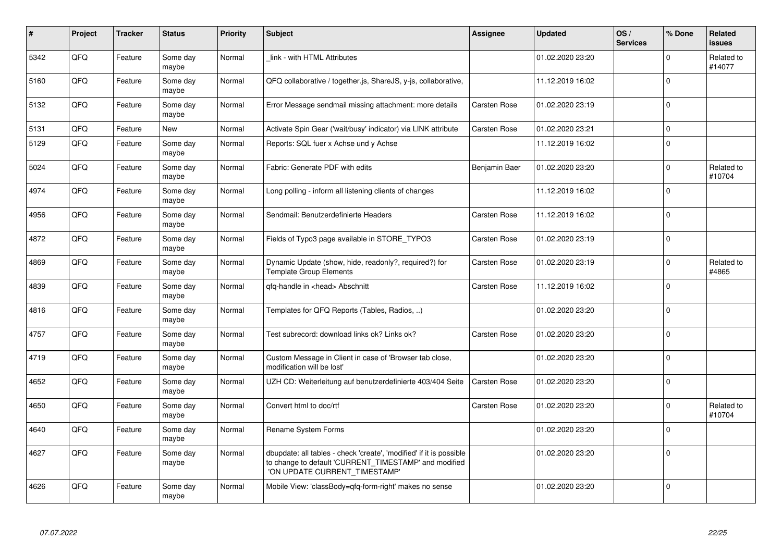| $\pmb{\sharp}$ | Project | <b>Tracker</b> | <b>Status</b>     | <b>Priority</b> | <b>Subject</b>                                                                                                                                                | <b>Assignee</b>     | <b>Updated</b>   | OS/<br><b>Services</b> | % Done      | Related<br><b>issues</b> |
|----------------|---------|----------------|-------------------|-----------------|---------------------------------------------------------------------------------------------------------------------------------------------------------------|---------------------|------------------|------------------------|-------------|--------------------------|
| 5342           | QFQ     | Feature        | Some day<br>maybe | Normal          | link - with HTML Attributes                                                                                                                                   |                     | 01.02.2020 23:20 |                        | $\Omega$    | Related to<br>#14077     |
| 5160           | QFQ     | Feature        | Some day<br>maybe | Normal          | QFQ collaborative / together.js, ShareJS, y-js, collaborative,                                                                                                |                     | 11.12.2019 16:02 |                        | $\mathbf 0$ |                          |
| 5132           | QFQ     | Feature        | Some day<br>maybe | Normal          | Error Message sendmail missing attachment: more details                                                                                                       | Carsten Rose        | 01.02.2020 23:19 |                        | $\mathbf 0$ |                          |
| 5131           | QFQ     | Feature        | New               | Normal          | Activate Spin Gear ('wait/busy' indicator) via LINK attribute                                                                                                 | Carsten Rose        | 01.02.2020 23:21 |                        | $\mathbf 0$ |                          |
| 5129           | QFQ     | Feature        | Some day<br>maybe | Normal          | Reports: SQL fuer x Achse und y Achse                                                                                                                         |                     | 11.12.2019 16:02 |                        | $\mathbf 0$ |                          |
| 5024           | QFQ     | Feature        | Some day<br>maybe | Normal          | Fabric: Generate PDF with edits                                                                                                                               | Benjamin Baer       | 01.02.2020 23:20 |                        | $\Omega$    | Related to<br>#10704     |
| 4974           | QFQ     | Feature        | Some day<br>maybe | Normal          | Long polling - inform all listening clients of changes                                                                                                        |                     | 11.12.2019 16:02 |                        | $\Omega$    |                          |
| 4956           | QFQ     | Feature        | Some day<br>maybe | Normal          | Sendmail: Benutzerdefinierte Headers                                                                                                                          | <b>Carsten Rose</b> | 11.12.2019 16:02 |                        | $\mathbf 0$ |                          |
| 4872           | QFQ     | Feature        | Some day<br>maybe | Normal          | Fields of Typo3 page available in STORE TYPO3                                                                                                                 | <b>Carsten Rose</b> | 01.02.2020 23:19 |                        | $\mathbf 0$ |                          |
| 4869           | QFQ     | Feature        | Some day<br>maybe | Normal          | Dynamic Update (show, hide, readonly?, required?) for<br><b>Template Group Elements</b>                                                                       | Carsten Rose        | 01.02.2020 23:19 |                        | $\Omega$    | Related to<br>#4865      |
| 4839           | QFQ     | Feature        | Some day<br>maybe | Normal          | gfg-handle in <head> Abschnitt</head>                                                                                                                         | <b>Carsten Rose</b> | 11.12.2019 16:02 |                        | $\Omega$    |                          |
| 4816           | QFQ     | Feature        | Some day<br>maybe | Normal          | Templates for QFQ Reports (Tables, Radios, )                                                                                                                  |                     | 01.02.2020 23:20 |                        | $\mathbf 0$ |                          |
| 4757           | QFQ     | Feature        | Some day<br>maybe | Normal          | Test subrecord: download links ok? Links ok?                                                                                                                  | <b>Carsten Rose</b> | 01.02.2020 23:20 |                        | $\mathbf 0$ |                          |
| 4719           | QFQ     | Feature        | Some day<br>maybe | Normal          | Custom Message in Client in case of 'Browser tab close,<br>modification will be lost'                                                                         |                     | 01.02.2020 23:20 |                        | $\mathbf 0$ |                          |
| 4652           | QFQ     | Feature        | Some day<br>maybe | Normal          | UZH CD: Weiterleitung auf benutzerdefinierte 403/404 Seite                                                                                                    | Carsten Rose        | 01.02.2020 23:20 |                        | $\pmb{0}$   |                          |
| 4650           | QFQ     | Feature        | Some day<br>maybe | Normal          | Convert html to doc/rtf                                                                                                                                       | <b>Carsten Rose</b> | 01.02.2020 23:20 |                        | $\mathbf 0$ | Related to<br>#10704     |
| 4640           | QFQ     | Feature        | Some day<br>maybe | Normal          | Rename System Forms                                                                                                                                           |                     | 01.02.2020 23:20 |                        | $\mathbf 0$ |                          |
| 4627           | QFQ     | Feature        | Some day<br>maybe | Normal          | dbupdate: all tables - check 'create', 'modified' if it is possible<br>to change to default 'CURRENT_TIMESTAMP' and modified<br>'ON UPDATE CURRENT_TIMESTAMP' |                     | 01.02.2020 23:20 |                        | $\Omega$    |                          |
| 4626           | QFQ     | Feature        | Some day<br>maybe | Normal          | Mobile View: 'classBody=qfq-form-right' makes no sense                                                                                                        |                     | 01.02.2020 23:20 |                        | $\Omega$    |                          |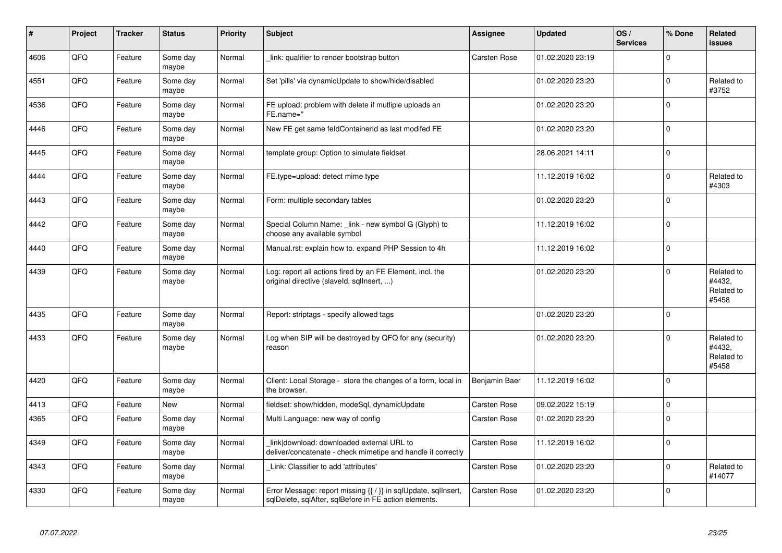| $\sharp$ | Project | <b>Tracker</b> | <b>Status</b>     | <b>Priority</b> | <b>Subject</b>                                                                                                          | <b>Assignee</b>     | <b>Updated</b>   | OS/<br><b>Services</b> | % Done      | Related<br><b>issues</b>                    |
|----------|---------|----------------|-------------------|-----------------|-------------------------------------------------------------------------------------------------------------------------|---------------------|------------------|------------------------|-------------|---------------------------------------------|
| 4606     | QFQ     | Feature        | Some day<br>maybe | Normal          | link: qualifier to render bootstrap button                                                                              | <b>Carsten Rose</b> | 01.02.2020 23:19 |                        | $\mathbf 0$ |                                             |
| 4551     | QFQ     | Feature        | Some day<br>maybe | Normal          | Set 'pills' via dynamicUpdate to show/hide/disabled                                                                     |                     | 01.02.2020 23:20 |                        | $\mathbf 0$ | Related to<br>#3752                         |
| 4536     | QFQ     | Feature        | Some day<br>maybe | Normal          | FE upload: problem with delete if mutliple uploads an<br>FE.name="                                                      |                     | 01.02.2020 23:20 |                        | $\mathbf 0$ |                                             |
| 4446     | QFQ     | Feature        | Some day<br>maybe | Normal          | New FE get same feldContainerId as last modifed FE                                                                      |                     | 01.02.2020 23:20 |                        | $\mathbf 0$ |                                             |
| 4445     | QFQ     | Feature        | Some day<br>maybe | Normal          | template group: Option to simulate fieldset                                                                             |                     | 28.06.2021 14:11 |                        | $\mathbf 0$ |                                             |
| 4444     | QFQ     | Feature        | Some day<br>maybe | Normal          | FE.type=upload: detect mime type                                                                                        |                     | 11.12.2019 16:02 |                        | $\mathbf 0$ | Related to<br>#4303                         |
| 4443     | QFQ     | Feature        | Some day<br>maybe | Normal          | Form: multiple secondary tables                                                                                         |                     | 01.02.2020 23:20 |                        | $\Omega$    |                                             |
| 4442     | QFQ     | Feature        | Some day<br>maybe | Normal          | Special Column Name: _link - new symbol G (Glyph) to<br>choose any available symbol                                     |                     | 11.12.2019 16:02 |                        | $\Omega$    |                                             |
| 4440     | QFQ     | Feature        | Some day<br>maybe | Normal          | Manual.rst: explain how to. expand PHP Session to 4h                                                                    |                     | 11.12.2019 16:02 |                        | $\pmb{0}$   |                                             |
| 4439     | QFQ     | Feature        | Some day<br>maybe | Normal          | Log: report all actions fired by an FE Element, incl. the<br>original directive (slaveld, sqllnsert, )                  |                     | 01.02.2020 23:20 |                        | $\mathbf 0$ | Related to<br>#4432,<br>Related to<br>#5458 |
| 4435     | QFQ     | Feature        | Some day<br>maybe | Normal          | Report: striptags - specify allowed tags                                                                                |                     | 01.02.2020 23:20 |                        | $\mathbf 0$ |                                             |
| 4433     | QFQ     | Feature        | Some day<br>maybe | Normal          | Log when SIP will be destroyed by QFQ for any (security)<br>reason                                                      |                     | 01.02.2020 23:20 |                        | $\mathbf 0$ | Related to<br>#4432,<br>Related to<br>#5458 |
| 4420     | QFQ     | Feature        | Some day<br>maybe | Normal          | Client: Local Storage - store the changes of a form, local in<br>the browser.                                           | Benjamin Baer       | 11.12.2019 16:02 |                        | $\Omega$    |                                             |
| 4413     | QFQ     | Feature        | <b>New</b>        | Normal          | fieldset: show/hidden, modeSql, dynamicUpdate                                                                           | <b>Carsten Rose</b> | 09.02.2022 15:19 |                        | $\mathbf 0$ |                                             |
| 4365     | QFQ     | Feature        | Some day<br>maybe | Normal          | Multi Language: new way of config                                                                                       | Carsten Rose        | 01.02.2020 23:20 |                        | $\mathbf 0$ |                                             |
| 4349     | QFQ     | Feature        | Some day<br>maybe | Normal          | link download: downloaded external URL to<br>deliver/concatenate - check mimetipe and handle it correctly               | <b>Carsten Rose</b> | 11.12.2019 16:02 |                        | $\mathbf 0$ |                                             |
| 4343     | QFQ     | Feature        | Some day<br>maybe | Normal          | Link: Classifier to add 'attributes'                                                                                    | <b>Carsten Rose</b> | 01.02.2020 23:20 |                        | $\mathbf 0$ | Related to<br>#14077                        |
| 4330     | QFQ     | Feature        | Some day<br>maybe | Normal          | Error Message: report missing {{ / }} in sqlUpdate, sqlInsert,<br>sqlDelete, sqlAfter, sqlBefore in FE action elements. | <b>Carsten Rose</b> | 01.02.2020 23:20 |                        | $\mathbf 0$ |                                             |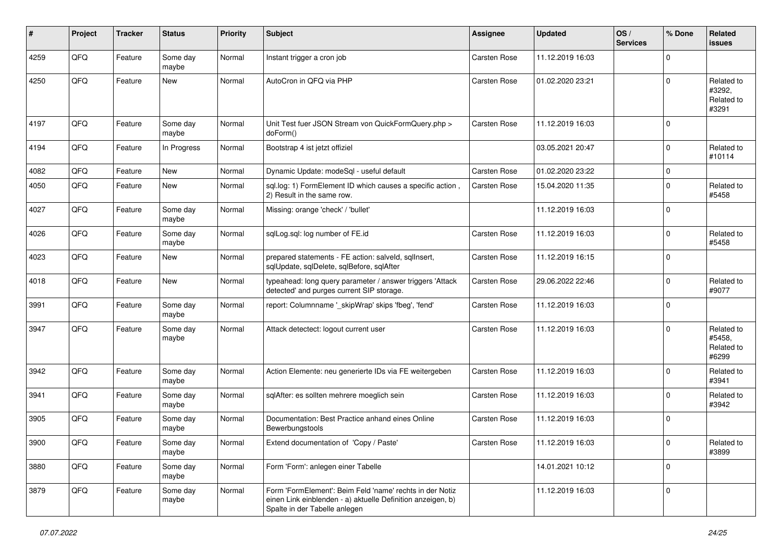| ∦    | Project | <b>Tracker</b> | <b>Status</b>     | <b>Priority</b> | <b>Subject</b>                                                                                                                                           | Assignee            | <b>Updated</b>   | OS/<br><b>Services</b> | % Done      | Related<br><b>issues</b>                    |
|------|---------|----------------|-------------------|-----------------|----------------------------------------------------------------------------------------------------------------------------------------------------------|---------------------|------------------|------------------------|-------------|---------------------------------------------|
| 4259 | QFQ     | Feature        | Some day<br>maybe | Normal          | Instant trigger a cron job                                                                                                                               | <b>Carsten Rose</b> | 11.12.2019 16:03 |                        | $\mathbf 0$ |                                             |
| 4250 | QFQ     | Feature        | New               | Normal          | AutoCron in QFQ via PHP                                                                                                                                  | <b>Carsten Rose</b> | 01.02.2020 23:21 |                        | $\Omega$    | Related to<br>#3292,<br>Related to<br>#3291 |
| 4197 | QFQ     | Feature        | Some day<br>maybe | Normal          | Unit Test fuer JSON Stream von QuickFormQuery.php ><br>doForm()                                                                                          | <b>Carsten Rose</b> | 11.12.2019 16:03 |                        | $\mathbf 0$ |                                             |
| 4194 | QFQ     | Feature        | In Progress       | Normal          | Bootstrap 4 ist jetzt offiziel                                                                                                                           |                     | 03.05.2021 20:47 |                        | $\mathbf 0$ | Related to<br>#10114                        |
| 4082 | QFQ     | Feature        | New               | Normal          | Dynamic Update: modeSql - useful default                                                                                                                 | <b>Carsten Rose</b> | 01.02.2020 23:22 |                        | $\mathbf 0$ |                                             |
| 4050 | QFQ     | Feature        | New               | Normal          | sql.log: 1) FormElement ID which causes a specific action,<br>2) Result in the same row.                                                                 | <b>Carsten Rose</b> | 15.04.2020 11:35 |                        | $\mathbf 0$ | Related to<br>#5458                         |
| 4027 | QFQ     | Feature        | Some day<br>maybe | Normal          | Missing: orange 'check' / 'bullet'                                                                                                                       |                     | 11.12.2019 16:03 |                        | $\Omega$    |                                             |
| 4026 | QFQ     | Feature        | Some day<br>maybe | Normal          | sqlLog.sql: log number of FE.id                                                                                                                          | Carsten Rose        | 11.12.2019 16:03 |                        | $\mathbf 0$ | Related to<br>#5458                         |
| 4023 | QFQ     | Feature        | New               | Normal          | prepared statements - FE action: salveld, sqllnsert,<br>sqlUpdate, sqlDelete, sqlBefore, sqlAfter                                                        | Carsten Rose        | 11.12.2019 16:15 |                        | $\mathbf 0$ |                                             |
| 4018 | QFQ     | Feature        | New               | Normal          | typeahead: long query parameter / answer triggers 'Attack<br>detected' and purges current SIP storage.                                                   | <b>Carsten Rose</b> | 29.06.2022 22:46 |                        | $\mathbf 0$ | Related to<br>#9077                         |
| 3991 | QFQ     | Feature        | Some day<br>maybe | Normal          | report: Columnname '_skipWrap' skips 'fbeg', 'fend'                                                                                                      | Carsten Rose        | 11.12.2019 16:03 |                        | $\mathbf 0$ |                                             |
| 3947 | QFQ     | Feature        | Some day<br>maybe | Normal          | Attack detectect: logout current user                                                                                                                    | <b>Carsten Rose</b> | 11.12.2019 16:03 |                        | $\Omega$    | Related to<br>#5458,<br>Related to<br>#6299 |
| 3942 | QFQ     | Feature        | Some day<br>maybe | Normal          | Action Elemente: neu generierte IDs via FE weitergeben                                                                                                   | Carsten Rose        | 11.12.2019 16:03 |                        | $\mathbf 0$ | Related to<br>#3941                         |
| 3941 | QFQ     | Feature        | Some day<br>maybe | Normal          | sqlAfter: es sollten mehrere moeglich sein                                                                                                               | Carsten Rose        | 11.12.2019 16:03 |                        | $\mathbf 0$ | Related to<br>#3942                         |
| 3905 | QFQ     | Feature        | Some day<br>maybe | Normal          | Documentation: Best Practice anhand eines Online<br>Bewerbungstools                                                                                      | Carsten Rose        | 11.12.2019 16:03 |                        | $\mathbf 0$ |                                             |
| 3900 | QFQ     | Feature        | Some day<br>maybe | Normal          | Extend documentation of 'Copy / Paste'                                                                                                                   | Carsten Rose        | 11.12.2019 16:03 |                        | $\pmb{0}$   | Related to<br>#3899                         |
| 3880 | QFQ     | Feature        | Some day<br>maybe | Normal          | Form 'Form': anlegen einer Tabelle                                                                                                                       |                     | 14.01.2021 10:12 |                        | $\mathbf 0$ |                                             |
| 3879 | QFQ     | Feature        | Some day<br>maybe | Normal          | Form 'FormElement': Beim Feld 'name' rechts in der Notiz<br>einen Link einblenden - a) aktuelle Definition anzeigen, b)<br>Spalte in der Tabelle anlegen |                     | 11.12.2019 16:03 |                        | $\mathbf 0$ |                                             |